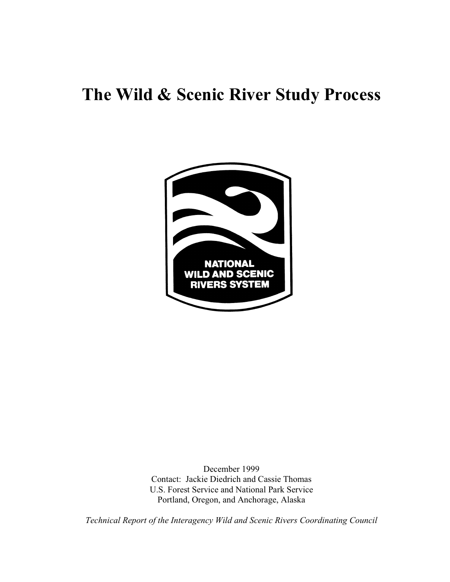# **The Wild & Scenic River Study Process**



December 1999 Contact: Jackie Diedrich and Cassie Thomas U.S. Forest Service and National Park Service Portland, Oregon, and Anchorage, Alaska

*Technical Report of the Interagency Wild and Scenic Rivers Coordinating Council*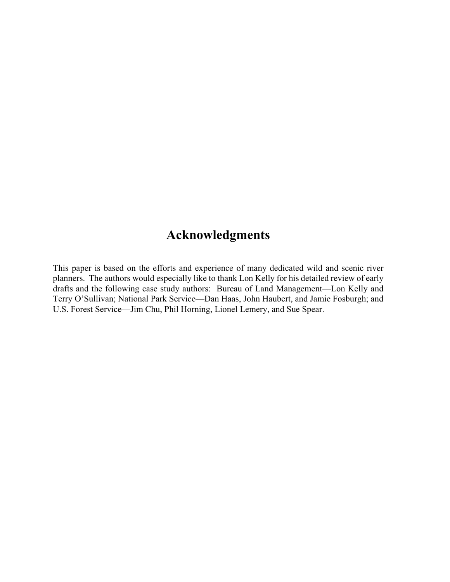# **Acknowledgments**

This paper is based on the efforts and experience of many dedicated wild and scenic river planners. The authors would especially like to thank Lon Kelly for his detailed review of early drafts and the following case study authors: Bureau of Land Management—Lon Kelly and Terry O'Sullivan; National Park Service—Dan Haas, John Haubert, and Jamie Fosburgh; and U.S. Forest Service—Jim Chu, Phil Horning, Lionel Lemery, and Sue Spear.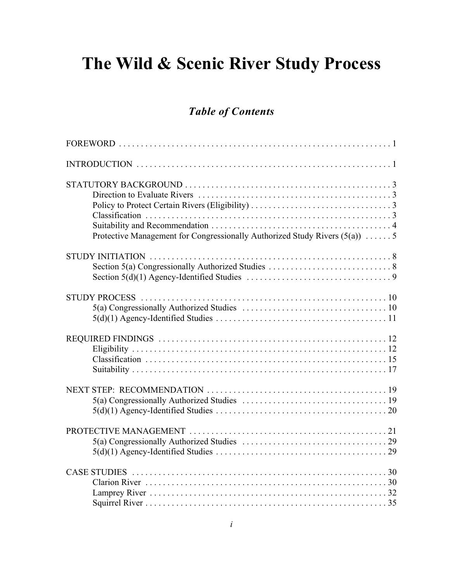# **The Wild & Scenic River Study Process**

# *Table of Contents*

| Protective Management for Congressionally Authorized Study Rivers $(5(a))$ 5 |  |
|------------------------------------------------------------------------------|--|
|                                                                              |  |
|                                                                              |  |
|                                                                              |  |
|                                                                              |  |
|                                                                              |  |
|                                                                              |  |
|                                                                              |  |
|                                                                              |  |
|                                                                              |  |
|                                                                              |  |
|                                                                              |  |
|                                                                              |  |
|                                                                              |  |
|                                                                              |  |
|                                                                              |  |
|                                                                              |  |
|                                                                              |  |
|                                                                              |  |
|                                                                              |  |
|                                                                              |  |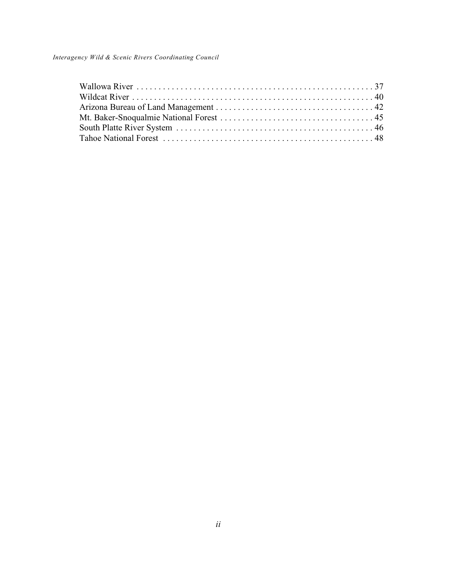*Interagency Wild & Scenic Rivers Coordinating Council*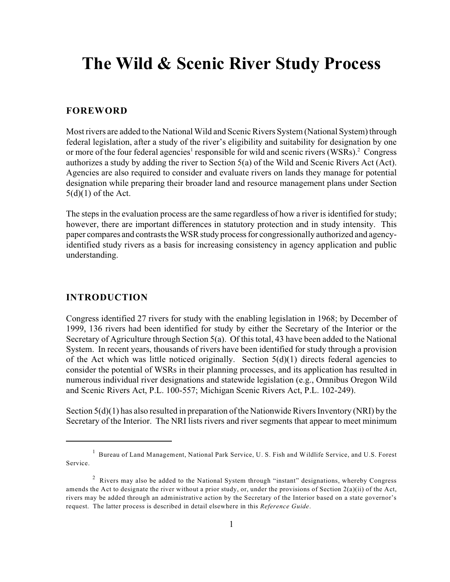# **The Wild & Scenic River Study Process**

# **FOREWORD**

Most rivers are added to the National Wild and Scenic Rivers System (National System) through federal legislation, after a study of the river's eligibility and suitability for designation by one or more of the four federal agencies<sup>1</sup> responsible for wild and scenic rivers (WSRs).<sup>2</sup> Congress authorizes a study by adding the river to Section 5(a) of the Wild and Scenic Rivers Act (Act). Agencies are also required to consider and evaluate rivers on lands they manage for potential designation while preparing their broader land and resource management plans under Section  $5(d)(1)$  of the Act.

The steps in the evaluation process are the same regardless of how a river is identified for study; however, there are important differences in statutory protection and in study intensity. This paper compares and contrasts the WSR study process for congressionally authorized and agencyidentified study rivers as a basis for increasing consistency in agency application and public understanding.

# **INTRODUCTION**

Congress identified 27 rivers for study with the enabling legislation in 1968; by December of 1999, 136 rivers had been identified for study by either the Secretary of the Interior or the Secretary of Agriculture through Section 5(a). Of this total, 43 have been added to the National System. In recent years, thousands of rivers have been identified for study through a provision of the Act which was little noticed originally. Section  $5(d)(1)$  directs federal agencies to consider the potential of WSRs in their planning processes, and its application has resulted in numerous individual river designations and statewide legislation (e.g., Omnibus Oregon Wild and Scenic Rivers Act, P.L. 100-557; Michigan Scenic Rivers Act, P.L. 102-249).

Section  $5(d)(1)$  has also resulted in preparation of the Nationwide Rivers Inventory (NRI) by the Secretary of the Interior. The NRI lists rivers and river segments that appear to meet minimum

<sup>&</sup>lt;sup>1</sup> Bureau of Land Management, National Park Service, U. S. Fish and Wildlife Service, and U.S. Forest Service.

 $2$  Rivers may also be added to the National System through "instant" designations, whereby Congress amends the Act to designate the river without a prior study, or, under the provisions of Section  $2(a)(ii)$  of the Act, rivers may be added through an administrative action by the Secretary of the Interior based on a state governor's request. The latter process is described in detail elsewhere in this *Reference Guide*.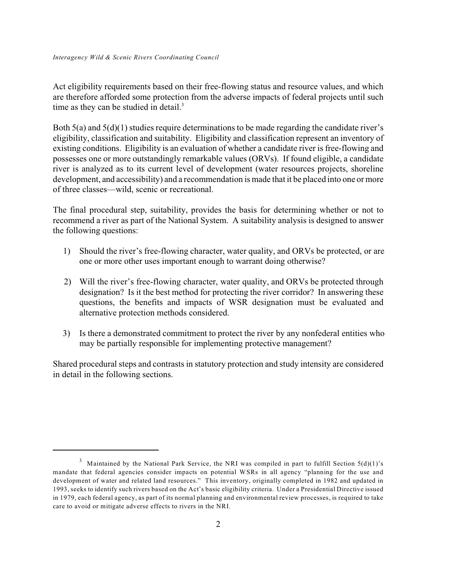Act eligibility requirements based on their free-flowing status and resource values, and which are therefore afforded some protection from the adverse impacts of federal projects until such time as they can be studied in detail. $3$ 

Both  $5(a)$  and  $5(d)(1)$  studies require determinations to be made regarding the candidate river's eligibility, classification and suitability. Eligibility and classification represent an inventory of existing conditions. Eligibility is an evaluation of whether a candidate river is free-flowing and possesses one or more outstandingly remarkable values (ORVs). If found eligible, a candidate river is analyzed as to its current level of development (water resources projects, shoreline development, and accessibility) and a recommendation is made that it be placed into one or more of three classes—wild, scenic or recreational.

The final procedural step, suitability, provides the basis for determining whether or not to recommend a river as part of the National System. A suitability analysis is designed to answer the following questions:

- 1) Should the river's free-flowing character, water quality, and ORVs be protected, or are one or more other uses important enough to warrant doing otherwise?
- 2) Will the river's free-flowing character, water quality, and ORVs be protected through designation? Is it the best method for protecting the river corridor? In answering these questions, the benefits and impacts of WSR designation must be evaluated and alternative protection methods considered.
- 3) Is there a demonstrated commitment to protect the river by any nonfederal entities who may be partially responsible for implementing protective management?

Shared procedural steps and contrasts in statutory protection and study intensity are considered in detail in the following sections.

<sup>&</sup>lt;sup>3</sup> Maintained by the National Park Service, the NRI was compiled in part to fulfill Section 5(d)(1)'s mandate that federal agencies consider impacts on potential WSRs in all agency "planning for the use and development of water and related land resources." This inventory, originally completed in 1982 and updated in 1993, seeks to identify such rivers based on the Act's basic eligibility criteria. Under a Presidential Directive issued in 1979, each federal agency, as part of its normal planning and environmental review processes, is required to take care to avoid or mitigate adverse effects to rivers in the NRI.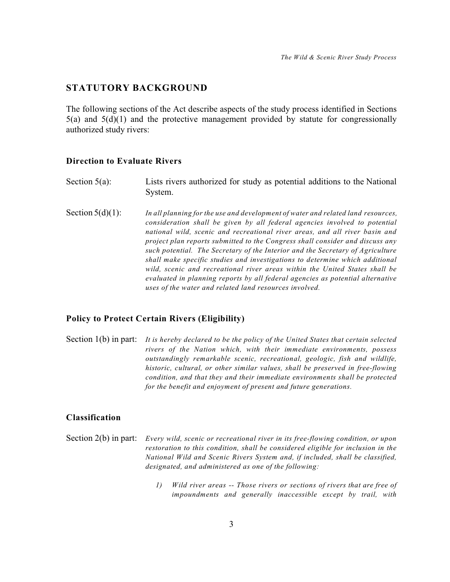## **STATUTORY BACKGROUND**

The following sections of the Act describe aspects of the study process identified in Sections  $5(a)$  and  $5(d)(1)$  and the protective management provided by statute for congressionally authorized study rivers:

#### **Direction to Evaluate Rivers**

- Section 5(a): Lists rivers authorized for study as potential additions to the National System.
- Section 5(d)(1): *In all planning for the use and development of water and related land resources, consideration shall be given by all federal agencies involved to potential national wild, scenic and recreational river areas, and all river basin and project plan reports submitted to the Congress shall consider and discuss any such potential. The Secretary of the Interior and the Secretary of Agriculture shall make specific studies and investigations to determine which additional wild, scenic and recreational river areas within the United States shall be evaluated in planning reports by all federal agencies as potential alternative uses of the water and related land resources involved.*

#### **Policy to Protect Certain Rivers (Eligibility)**

Section 1(b) in part: *It is hereby declared to be the policy of the United States that certain selected rivers of the Nation which, with their immediate environments, possess outstandingly remarkable scenic, recreational, geologic, fish and wildlife, historic, cultural, or other similar values, shall be preserved in free-flowing condition, and that they and their immediate environments shall be protected for the benefit and enjoyment of present and future generations.*

#### **Classification**

- Section 2(b) in part: *Every wild, scenic or recreational river in its free-flowing condition, or upon restoration to this condition, shall be considered eligible for inclusion in the National Wild and Scenic Rivers System and, if included, shall be classified, designated, and administered as one of the following:*
	- *1) Wild river areas -- Those rivers or sections of rivers that are free of impoundments and generally inaccessible except by trail, with*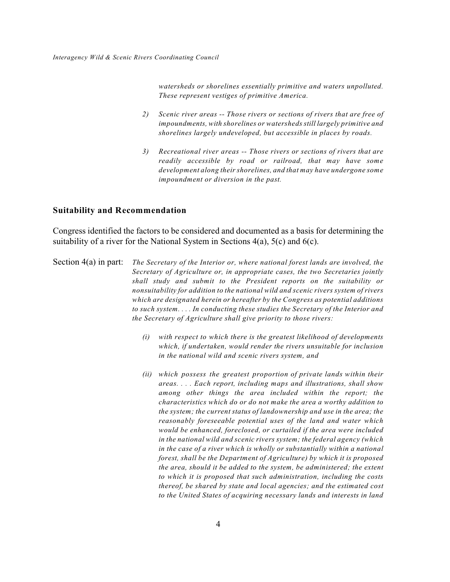*watersheds or shorelines essentially primitive and waters unpolluted. These represent vestiges of primitive America.*

- *2) Scenic river areas -- Those rivers or sections of rivers that are free of impoundments, with shorelines or watersheds still largely primitive and shorelines largely undeveloped, but accessible in places by roads.*
- *3) Recreational river areas -- Those rivers or sections of rivers that are readily accessible by road or railroad, that may have some development along their shorelines, and that may have undergone some impoundment or diversion in the past.*

#### **Suitability and Recommendation**

Congress identified the factors to be considered and documented as a basis for determining the suitability of a river for the National System in Sections 4(a), 5(c) and 6(c).

- Section 4(a) in part: *The Secretary of the Interior or, where national forest lands are involved, the Secretary of Agriculture or, in appropriate cases, the two Secretaries jointly shall study and submit to the President reports on the suitability or nonsuitability for addition to the national wild and scenic rivers system of rivers which are designated herein or hereafter by the Congress as potential additions to such system. . . . In conducting these studies the Secretary of the Interior and the Secretary of Agriculture shall give priority to those rivers:*
	- *(i) with respect to which there is the greatest likelihood of developments which, if undertaken, would render the rivers unsuitable for inclusion in the national wild and scenic rivers system, and*
	- *(ii) which possess the greatest proportion of private lands within their areas. . . . Each report, including maps and illustrations, shall show among other things the area included within the report; the characteristics which do or do not make the area a worthy addition to the system; the current status of landownership and use in the area; the reasonably foreseeable potential uses of the land and water which would be enhanced, foreclosed, or curtailed if the area were included in the national wild and scenic rivers system; the federal agency (which in the case of a river which is wholly or substantially within a national forest, shall be the Department of Agriculture) by which it is proposed the area, should it be added to the system, be administered; the extent to which it is proposed that such administration, including the costs thereof, be shared by state and local agencies; and the estimated cost to the United States of acquiring necessary lands and interests in land*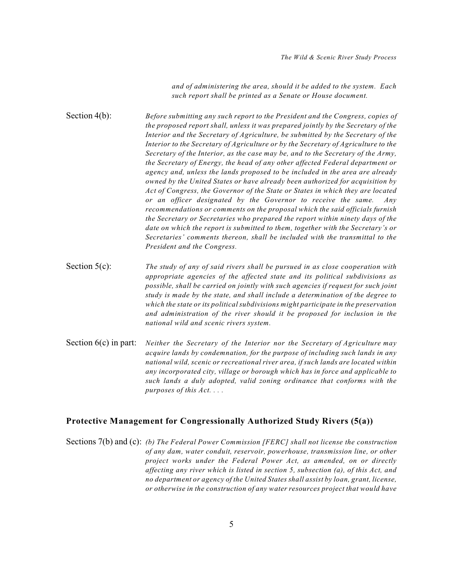*and of administering the area, should it be added to the system. Each such report shall be printed as a Senate or House document.*

Section 4(b): *Before submitting any such report to the President and the Congress, copies of the proposed report shall, unless it was prepared jointly by the Secretary of the Interior and the Secretary of Agriculture, be submitted by the Secretary of the Interior to the Secretary of Agriculture or by the Secretary of Agriculture to the Secretary of the Interior, as the case may be, and to the Secretary of the Army, the Secretary of Energy, the head of any other affected Federal department or agency and, unless the lands proposed to be included in the area are already owned by the United States or have already been authorized for acquisition by Act of Congress, the Governor of the State or States in which they are located or an officer designated by the Governor to receive the same. Any recommendations or comments on the proposal which the said officials furnish the Secretary or Secretaries who prepared the report within ninety days of the date on which the report is submitted to them, together with the Secretary's or Secretaries' comments thereon, shall be included with the transmittal to the President and the Congress.*

Section 5(c): *The study of any of said rivers shall be pursued in as close cooperation with appropriate agencies of the affected state and its political subdivisions as possible, shall be carried on jointly with such agencies if request for such joint study is made by the state, and shall include a determination of the degree to which the state or its political subdivisions might participate in the preservation and administration of the river should it be proposed for inclusion in the national wild and scenic rivers system.*

Section 6(c) in part: *Neither the Secretary of the Interior nor the Secretary of Agriculture may acquire lands by condemnation, for the purpose of including such lands in any national wild, scenic or recreational river area, if such lands are located within any incorporated city, village or borough which has in force and applicable to such lands a duly adopted, valid zoning ordinance that conforms with the purposes of this Act. . . .*

#### **Protective Management for Congressionally Authorized Study Rivers (5(a))**

Sections 7(b) and (c): *(b) The Federal Power Commission [FERC] shall not license the construction of any dam, water conduit, reservoir, powerhouse, transmission line, or other project works under the Federal Power Act, as amended, on or directly affecting any river which is listed in section 5, subsection (a), of this Act, and no department or agency of the United States shall assist by loan, grant, license, or otherwise in the construction of any water resources project that would have*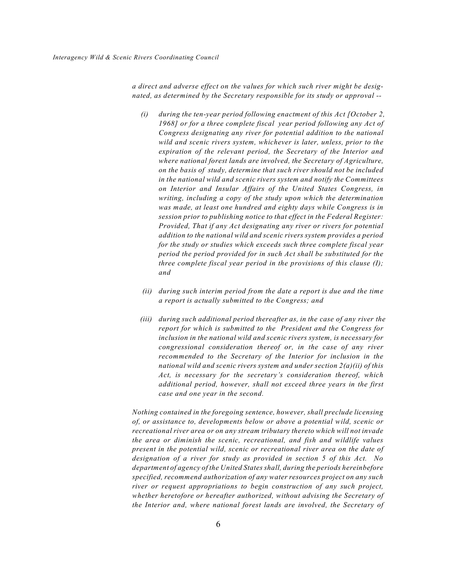*a direct and adverse effect on the values for which such river might be designated, as determined by the Secretary responsible for its study or approval --*

- *(i) during the ten-year period following enactment of this Act [October 2, 1968] or for a three complete fiscal year period following any Act of Congress designating any river for potential addition to the national wild and scenic rivers system, whichever is later, unless, prior to the expiration of the relevant period, the Secretary of the Interior and where national forest lands are involved, the Secretary of Agriculture, on the basis of study, determine that such river should not be included in the national wild and scenic rivers system and notify the Committees on Interior and Insular Affairs of the United States Congress, in writing, including a copy of the study upon which the determination was made, at least one hundred and eighty days while Congress is in session prior to publishing notice to that effect in the Federal Register: Provided, That if any Act designating any river or rivers for potential addition to the national wild and scenic rivers system provides a period for the study or studies which exceeds such three complete fiscal year period the period provided for in such Act shall be substituted for the three complete fiscal year period in the provisions of this clause (I); and*
- *(ii) during such interim period from the date a report is due and the time a report is actually submitted to the Congress; and*
- *(iii) during such additional period thereafter as, in the case of any river the report for which is submitted to the President and the Congress for inclusion in the national wild and scenic rivers system, is necessary for congressional consideration thereof or, in the case of any river recommended to the Secretary of the Interior for inclusion in the national wild and scenic rivers system and under section 2(a)(ii) of this Act, is necessary for the secretary's consideration thereof, which additional period, however, shall not exceed three years in the first case and one year in the second.*

*Nothing contained in the foregoing sentence, however, shall preclude licensing of, or assistance to, developments below or above a potential wild, scenic or recreational river area or on any stream tributary thereto which will not invade the area or diminish the scenic, recreational, and fish and wildlife values present in the potential wild, scenic or recreational river area on the date of designation of a river for study as provided in section 5 of this Act. No department of agency of the United States shall, during the periods hereinbefore specified, recommend authorization of any water resources project on any such river or request appropriations to begin construction of any such project, whether heretofore or hereafter authorized, without advising the Secretary of the Interior and, where national forest lands are involved, the Secretary of*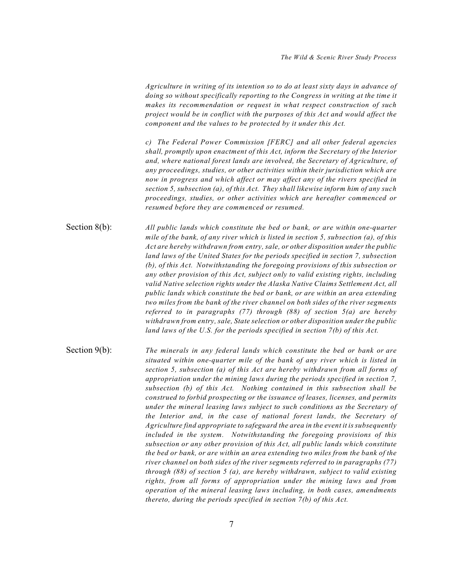*Agriculture in writing of its intention so to do at least sixty days in advance of doing so without specifically reporting to the Congress in writing at the time it makes its recommendation or request in what respect construction of such project would be in conflict with the purposes of this Act and would affect the component and the values to be protected by it under this Act.*

*c) The Federal Power Commission [FERC] and all other federal agencies shall, promptly upon enactment of this Act, inform the Secretary of the Interior and, where national forest lands are involved, the Secretary of Agriculture, of any proceedings, studies, or other activities within their jurisdiction which are now in progress and which affect or may affect any of the rivers specified in section 5, subsection (a), of this Act. They shall likewise inform him of any such proceedings, studies, or other activities which are hereafter commenced or resumed before they are commenced or resumed.*

Section 8(b): *All public lands which constitute the bed or bank, or are within one-quarter mile of the bank, of any river which is listed in section 5, subsection (a), of this Act are hereby withdrawn from entry, sale, or other disposition under the public land laws of the United States for the periods specified in section 7, subsection (b), of this Act. Notwithstanding the foregoing provisions of this subsection or any other provision of this Act, subject only to valid existing rights, including valid Native selection rights under the Alaska Native Claims Settlement Act, all public lands which constitute the bed or bank, or are within an area extending two miles from the bank of the river channel on both sides of the river segments referred to in paragraphs (77) through (88) of section 5(a) are hereby withdrawn from entry, sale, State selection or other disposition under the public land laws of the U.S. for the periods specified in section 7(b) of this Act.*

Section 9(b): *The minerals in any federal lands which constitute the bed or bank or are situated within one-quarter mile of the bank of any river which is listed in section 5, subsection (a) of this Act are hereby withdrawn from all forms of appropriation under the mining laws during the periods specified in section 7, subsection (b) of this Act. Nothing contained in this subsection shall be construed to forbid prospecting or the issuance of leases, licenses, and permits under the mineral leasing laws subject to such conditions as the Secretary of the Interior and, in the case of national forest lands, the Secretary of Agriculture find appropriate to safeguard the area in the event it is subsequently included in the system. Notwithstanding the foregoing provisions of this subsection or any other provision of this Act, all public lands which constitute the bed or bank, or are within an area extending two miles from the bank of the river channel on both sides of the river segments referred to in paragraphs (77) through (88) of section 5 (a), are hereby withdrawn, subject to valid existing rights, from all forms of appropriation under the mining laws and from operation of the mineral leasing laws including, in both cases, amendments thereto, during the periods specified in section 7(b) of this Act.*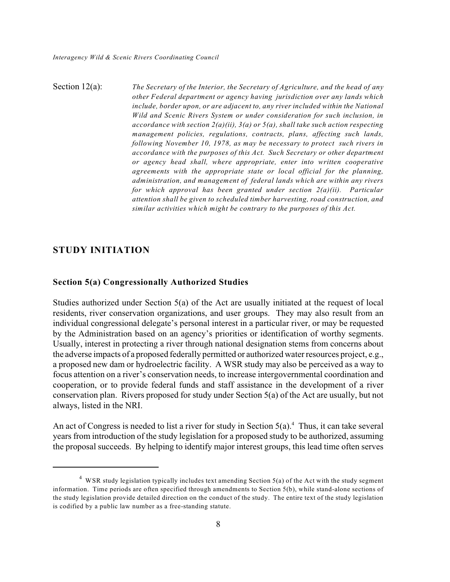Section 12(a): *The Secretary of the Interior, the Secretary of Agriculture, and the head of any other Federal department or agency having jurisdiction over any lands which include, border upon, or are adjacent to, any river included within the National Wild and Scenic Rivers System or under consideration for such inclusion, in accordance with section 2(a)(ii), 3(a) or 5(a), shall take such action respecting management policies, regulations, contracts, plans, affecting such lands, following November 10, 1978, as may be necessary to protect such rivers in accordance with the purposes of this Act. Such Secretary or other department or agency head shall, where appropriate, enter into written cooperative agreements with the appropriate state or local official for the planning, administration, and management of federal lands which are within any rivers for which approval has been granted under section 2(a)(ii). Particular attention shall be given to scheduled timber harvesting, road construction, and similar activities which might be contrary to the purposes of this Act.*

# **STUDY INITIATION**

#### **Section 5(a) Congressionally Authorized Studies**

Studies authorized under Section 5(a) of the Act are usually initiated at the request of local residents, river conservation organizations, and user groups. They may also result from an individual congressional delegate's personal interest in a particular river, or may be requested by the Administration based on an agency's priorities or identification of worthy segments. Usually, interest in protecting a river through national designation stems from concerns about the adverse impacts of a proposed federally permitted or authorized water resources project, e.g., a proposed new dam or hydroelectric facility. A WSR study may also be perceived as a way to focus attention on a river's conservation needs, to increase intergovernmental coordination and cooperation, or to provide federal funds and staff assistance in the development of a river conservation plan. Rivers proposed for study under Section 5(a) of the Act are usually, but not always, listed in the NRI.

An act of Congress is needed to list a river for study in Section  $5(a)$ .<sup>4</sup> Thus, it can take several years from introduction of the study legislation for a proposed study to be authorized, assuming the proposal succeeds. By helping to identify major interest groups, this lead time often serves

 $4$  WSR study legislation typically includes text amending Section 5(a) of the Act with the study segment information. Time periods are often specified through amendments to Section 5(b), while stand-alone sections of the study legislation provide detailed direction on the conduct of the study. The entire text of the study legislation is codified by a public law number as a free-standing statute.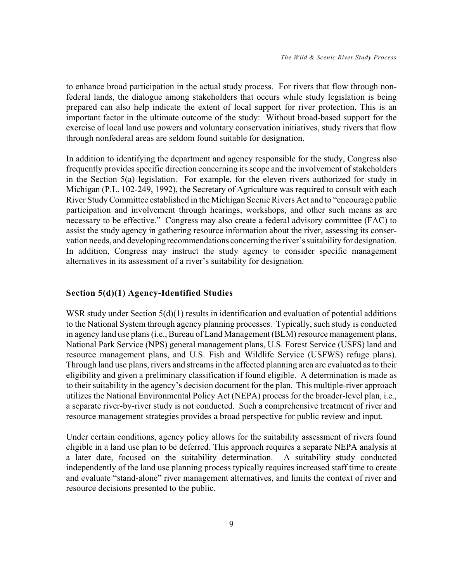to enhance broad participation in the actual study process. For rivers that flow through nonfederal lands, the dialogue among stakeholders that occurs while study legislation is being prepared can also help indicate the extent of local support for river protection. This is an important factor in the ultimate outcome of the study: Without broad-based support for the exercise of local land use powers and voluntary conservation initiatives, study rivers that flow through nonfederal areas are seldom found suitable for designation.

In addition to identifying the department and agency responsible for the study, Congress also frequently provides specific direction concerning its scope and the involvement of stakeholders in the Section 5(a) legislation. For example, for the eleven rivers authorized for study in Michigan (P.L. 102-249, 1992), the Secretary of Agriculture was required to consult with each River Study Committee established in the Michigan Scenic Rivers Act and to "encourage public participation and involvement through hearings, workshops, and other such means as are necessary to be effective." Congress may also create a federal advisory committee (FAC) to assist the study agency in gathering resource information about the river, assessing its conservation needs, and developing recommendations concerning the river's suitability for designation. In addition, Congress may instruct the study agency to consider specific management alternatives in its assessment of a river's suitability for designation.

#### **Section 5(d)(1) Agency-Identified Studies**

WSR study under Section 5(d)(1) results in identification and evaluation of potential additions to the National System through agency planning processes. Typically, such study is conducted in agency land use plans (i.e., Bureau of Land Management (BLM) resource management plans, National Park Service (NPS) general management plans, U.S. Forest Service (USFS) land and resource management plans, and U.S. Fish and Wildlife Service (USFWS) refuge plans). Through land use plans, rivers and streams in the affected planning area are evaluated as to their eligibility and given a preliminary classification if found eligible. A determination is made as to their suitability in the agency's decision document for the plan. This multiple-river approach utilizes the National Environmental Policy Act (NEPA) process for the broader-level plan, i.e., a separate river-by-river study is not conducted. Such a comprehensive treatment of river and resource management strategies provides a broad perspective for public review and input.

Under certain conditions, agency policy allows for the suitability assessment of rivers found eligible in a land use plan to be deferred. This approach requires a separate NEPA analysis at a later date, focused on the suitability determination. A suitability study conducted independently of the land use planning process typically requires increased staff time to create and evaluate "stand-alone" river management alternatives, and limits the context of river and resource decisions presented to the public.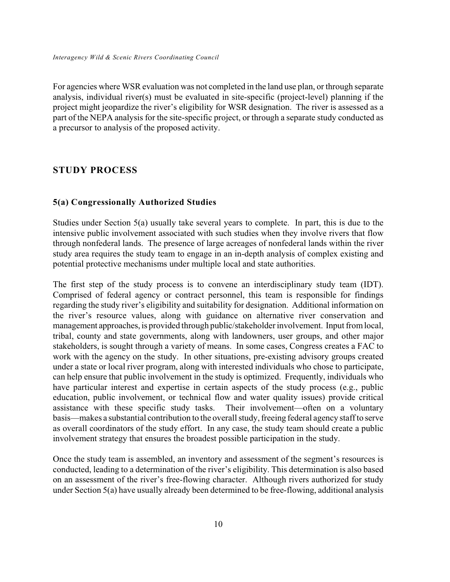For agencies where WSR evaluation was not completed in the land use plan, or through separate analysis, individual river(s) must be evaluated in site-specific (project-level) planning if the project might jeopardize the river's eligibility for WSR designation. The river is assessed as a part of the NEPA analysis for the site-specific project, or through a separate study conducted as a precursor to analysis of the proposed activity.

# **STUDY PROCESS**

## **5(a) Congressionally Authorized Studies**

Studies under Section 5(a) usually take several years to complete. In part, this is due to the intensive public involvement associated with such studies when they involve rivers that flow through nonfederal lands. The presence of large acreages of nonfederal lands within the river study area requires the study team to engage in an in-depth analysis of complex existing and potential protective mechanisms under multiple local and state authorities.

The first step of the study process is to convene an interdisciplinary study team (IDT). Comprised of federal agency or contract personnel, this team is responsible for findings regarding the study river's eligibility and suitability for designation. Additional information on the river's resource values, along with guidance on alternative river conservation and management approaches, is provided through public/stakeholder involvement. Input from local, tribal, county and state governments, along with landowners, user groups, and other major stakeholders, is sought through a variety of means. In some cases, Congress creates a FAC to work with the agency on the study. In other situations, pre-existing advisory groups created under a state or local river program, along with interested individuals who chose to participate, can help ensure that public involvement in the study is optimized. Frequently, individuals who have particular interest and expertise in certain aspects of the study process (e.g., public education, public involvement, or technical flow and water quality issues) provide critical assistance with these specific study tasks. Their involvement—often on a voluntary basis—makes a substantial contribution to the overall study, freeing federal agency staff to serve as overall coordinators of the study effort. In any case, the study team should create a public involvement strategy that ensures the broadest possible participation in the study.

Once the study team is assembled, an inventory and assessment of the segment's resources is conducted, leading to a determination of the river's eligibility. This determination is also based on an assessment of the river's free-flowing character. Although rivers authorized for study under Section 5(a) have usually already been determined to be free-flowing, additional analysis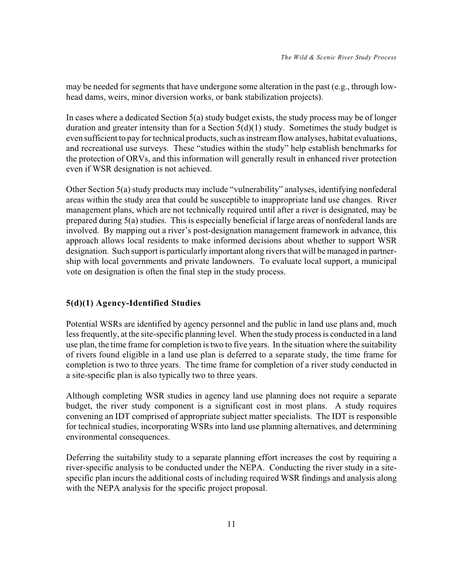may be needed for segments that have undergone some alteration in the past (e.g., through lowhead dams, weirs, minor diversion works, or bank stabilization projects).

In cases where a dedicated Section 5(a) study budget exists, the study process may be of longer duration and greater intensity than for a Section  $5(d)(1)$  study. Sometimes the study budget is even sufficient to pay for technical products, such as instream flow analyses, habitat evaluations, and recreational use surveys. These "studies within the study" help establish benchmarks for the protection of ORVs, and this information will generally result in enhanced river protection even if WSR designation is not achieved.

Other Section 5(a) study products may include "vulnerability" analyses, identifying nonfederal areas within the study area that could be susceptible to inappropriate land use changes. River management plans, which are not technically required until after a river is designated, may be prepared during 5(a) studies. This is especially beneficial if large areas of nonfederal lands are involved. By mapping out a river's post-designation management framework in advance, this approach allows local residents to make informed decisions about whether to support WSR designation. Such support is particularly important along rivers that will be managed in partnership with local governments and private landowners. To evaluate local support, a municipal vote on designation is often the final step in the study process.

# **5(d)(1) Agency-Identified Studies**

Potential WSRs are identified by agency personnel and the public in land use plans and, much less frequently, at the site-specific planning level. When the study process is conducted in a land use plan, the time frame for completion is two to five years. In the situation where the suitability of rivers found eligible in a land use plan is deferred to a separate study, the time frame for completion is two to three years. The time frame for completion of a river study conducted in a site-specific plan is also typically two to three years.

Although completing WSR studies in agency land use planning does not require a separate budget, the river study component is a significant cost in most plans. A study requires convening an IDT comprised of appropriate subject matter specialists. The IDT is responsible for technical studies, incorporating WSRs into land use planning alternatives, and determining environmental consequences.

Deferring the suitability study to a separate planning effort increases the cost by requiring a river-specific analysis to be conducted under the NEPA. Conducting the river study in a sitespecific plan incurs the additional costs of including required WSR findings and analysis along with the NEPA analysis for the specific project proposal.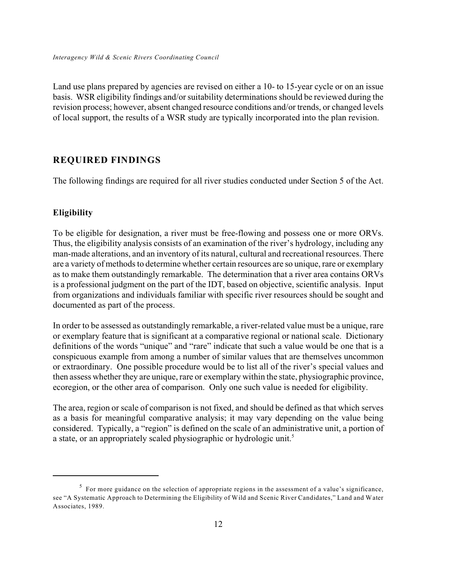Land use plans prepared by agencies are revised on either a 10- to 15-year cycle or on an issue basis. WSR eligibility findings and/or suitability determinations should be reviewed during the revision process; however, absent changed resource conditions and/or trends, or changed levels of local support, the results of a WSR study are typically incorporated into the plan revision.

# **REQUIRED FINDINGS**

The following findings are required for all river studies conducted under Section 5 of the Act.

## **Eligibility**

To be eligible for designation, a river must be free-flowing and possess one or more ORVs. Thus, the eligibility analysis consists of an examination of the river's hydrology, including any man-made alterations, and an inventory of its natural, cultural and recreational resources. There are a variety of methods to determine whether certain resources are so unique, rare or exemplary as to make them outstandingly remarkable. The determination that a river area contains ORVs is a professional judgment on the part of the IDT, based on objective, scientific analysis. Input from organizations and individuals familiar with specific river resources should be sought and documented as part of the process.

In order to be assessed as outstandingly remarkable, a river-related value must be a unique, rare or exemplary feature that is significant at a comparative regional or national scale. Dictionary definitions of the words "unique" and "rare" indicate that such a value would be one that is a conspicuous example from among a number of similar values that are themselves uncommon or extraordinary. One possible procedure would be to list all of the river's special values and then assess whether they are unique, rare or exemplary within the state, physiographic province, ecoregion, or the other area of comparison. Only one such value is needed for eligibility.

The area, region or scale of comparison is not fixed, and should be defined as that which serves as a basis for meaningful comparative analysis; it may vary depending on the value being considered. Typically, a "region" is defined on the scale of an administrative unit, a portion of a state, or an appropriately scaled physiographic or hydrologic unit.<sup>5</sup>

 $5$  For more guidance on the selection of appropriate regions in the assessment of a value's significance, see "A Systematic Approach to Determining the Eligibility of Wild and Scenic River Candidates," Land and Water Associates, 1989.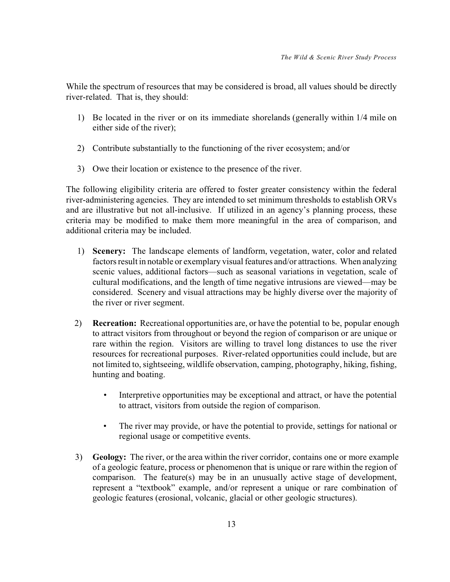While the spectrum of resources that may be considered is broad, all values should be directly river-related. That is, they should:

- 1) Be located in the river or on its immediate shorelands (generally within 1/4 mile on either side of the river);
- 2) Contribute substantially to the functioning of the river ecosystem; and/or
- 3) Owe their location or existence to the presence of the river.

The following eligibility criteria are offered to foster greater consistency within the federal river-administering agencies. They are intended to set minimum thresholds to establish ORVs and are illustrative but not all-inclusive. If utilized in an agency's planning process, these criteria may be modified to make them more meaningful in the area of comparison, and additional criteria may be included.

- 1) **Scenery:** The landscape elements of landform, vegetation, water, color and related factors result in notable or exemplary visual features and/or attractions. When analyzing scenic values, additional factors—such as seasonal variations in vegetation, scale of cultural modifications, and the length of time negative intrusions are viewed—may be considered. Scenery and visual attractions may be highly diverse over the majority of the river or river segment.
- 2) **Recreation:** Recreational opportunities are, or have the potential to be, popular enough to attract visitors from throughout or beyond the region of comparison or are unique or rare within the region. Visitors are willing to travel long distances to use the river resources for recreational purposes. River-related opportunities could include, but are not limited to, sightseeing, wildlife observation, camping, photography, hiking, fishing, hunting and boating.
	- Interpretive opportunities may be exceptional and attract, or have the potential to attract, visitors from outside the region of comparison.
	- The river may provide, or have the potential to provide, settings for national or regional usage or competitive events.
- 3) **Geology:** The river, or the area within the river corridor, contains one or more example of a geologic feature, process or phenomenon that is unique or rare within the region of comparison. The feature(s) may be in an unusually active stage of development, represent a "textbook" example, and/or represent a unique or rare combination of geologic features (erosional, volcanic, glacial or other geologic structures).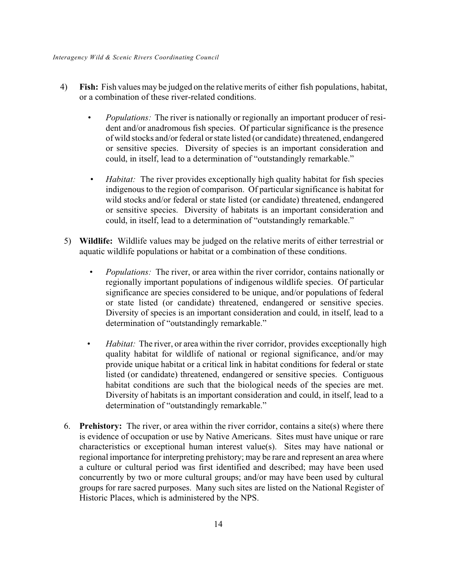- 4) **Fish:** Fish values may be judged on the relative merits of either fish populations, habitat, or a combination of these river-related conditions.
	- *Populations:* The river is nationally or regionally an important producer of resident and/or anadromous fish species. Of particular significance is the presence of wild stocks and/or federal or state listed (or candidate) threatened, endangered or sensitive species. Diversity of species is an important consideration and could, in itself, lead to a determination of "outstandingly remarkable."
	- *Habitat:* The river provides exceptionally high quality habitat for fish species indigenous to the region of comparison. Of particular significance is habitat for wild stocks and/or federal or state listed (or candidate) threatened, endangered or sensitive species. Diversity of habitats is an important consideration and could, in itself, lead to a determination of "outstandingly remarkable."
- 5) **Wildlife:** Wildlife values may be judged on the relative merits of either terrestrial or aquatic wildlife populations or habitat or a combination of these conditions.
	- *Populations:* The river, or area within the river corridor, contains nationally or regionally important populations of indigenous wildlife species. Of particular significance are species considered to be unique, and/or populations of federal or state listed (or candidate) threatened, endangered or sensitive species. Diversity of species is an important consideration and could, in itself, lead to a determination of "outstandingly remarkable."
	- *Habitat:* The river, or area within the river corridor, provides exceptionally high quality habitat for wildlife of national or regional significance, and/or may provide unique habitat or a critical link in habitat conditions for federal or state listed (or candidate) threatened, endangered or sensitive species. Contiguous habitat conditions are such that the biological needs of the species are met. Diversity of habitats is an important consideration and could, in itself, lead to a determination of "outstandingly remarkable."
- 6. **Prehistory:** The river, or area within the river corridor, contains a site(s) where there is evidence of occupation or use by Native Americans. Sites must have unique or rare characteristics or exceptional human interest value(s). Sites may have national or regional importance for interpreting prehistory; may be rare and represent an area where a culture or cultural period was first identified and described; may have been used concurrently by two or more cultural groups; and/or may have been used by cultural groups for rare sacred purposes. Many such sites are listed on the National Register of Historic Places, which is administered by the NPS.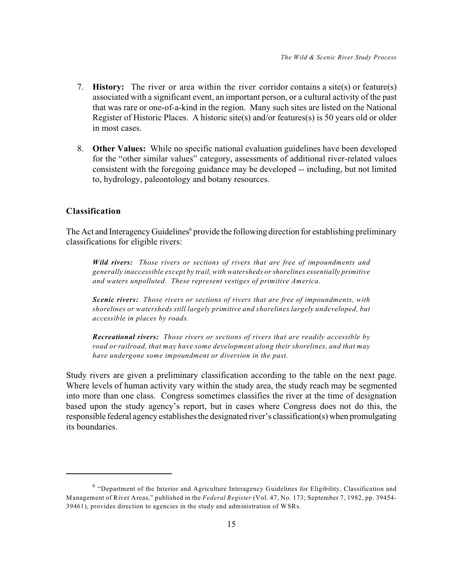- 7. **History:** The river or area within the river corridor contains a site(s) or feature(s) associated with a significant event, an important person, or a cultural activity of the past that was rare or one-of-a-kind in the region. Many such sites are listed on the National Register of Historic Places. A historic site(s) and/or features(s) is 50 years old or older in most cases.
- 8. **Other Values:** While no specific national evaluation guidelines have been developed for the "other similar values" category, assessments of additional river-related values consistent with the foregoing guidance may be developed -- including, but not limited to, hydrology, paleontology and botany resources.

# **Classification**

The Act and Interagency Guidelines<sup>6</sup> provide the following direction for establishing preliminary classifications for eligible rivers:

*Wild rivers: Those rivers or sections of rivers that are free of impoundments and generally inaccessible except by trail, with watersheds or shorelines essentially primitive and waters unpolluted. These represent vestiges of primitive America.*

*Scenic rivers: Those rivers or sections of rivers that are free of impoundments, with shorelines or watersheds still largely primitive and shorelines largely undeveloped, but accessible in places by roads.*

*Recreational rivers: Those rivers or sections of rivers that are readily accessible by road or railroad, that may have some development along their shorelines, and that may have undergone some impoundment or diversion in the past.*

Study rivers are given a preliminary classification according to the table on the next page. Where levels of human activity vary within the study area, the study reach may be segmented into more than one class. Congress sometimes classifies the river at the time of designation based upon the study agency's report, but in cases where Congress does not do this, the responsible federal agency establishes the designated river's classification(s) when promulgating its boundaries.

<sup>&</sup>lt;sup>6</sup> "Department of the Interior and Agriculture Interagency Guidelines for Eligibility, Classification and Management of River Areas," published in the *Federal Register* (Vol. 47, No. 173; September 7, 1982, pp. 39454- 39461), provides direction to agencies in the study and administration of WSRs.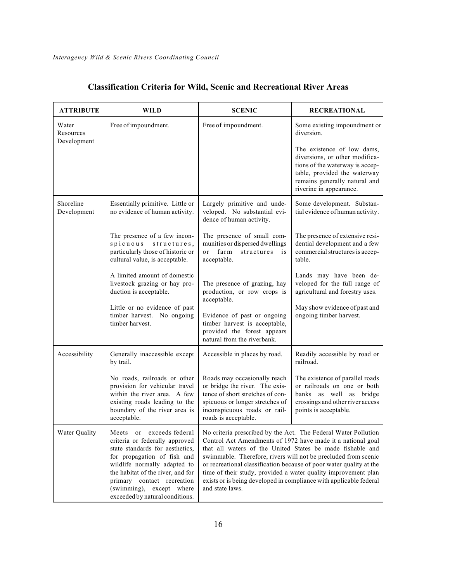| <b>ATTRIBUTE</b>         | <b>WILD</b>                                                                                                                                                                                                                                                                                    | <b>SCENIC</b>                                                                                                                                                                                 | <b>RECREATIONAL</b>                                                                                                                                                                                                                                                                                                                                                                                                                                                         |  |
|--------------------------|------------------------------------------------------------------------------------------------------------------------------------------------------------------------------------------------------------------------------------------------------------------------------------------------|-----------------------------------------------------------------------------------------------------------------------------------------------------------------------------------------------|-----------------------------------------------------------------------------------------------------------------------------------------------------------------------------------------------------------------------------------------------------------------------------------------------------------------------------------------------------------------------------------------------------------------------------------------------------------------------------|--|
| Water<br>Resources       | Free of impoundment.                                                                                                                                                                                                                                                                           | Free of impoundment.                                                                                                                                                                          | Some existing impoundment or<br>diversion.                                                                                                                                                                                                                                                                                                                                                                                                                                  |  |
| Development              |                                                                                                                                                                                                                                                                                                |                                                                                                                                                                                               | The existence of low dams,<br>diversions, or other modifica-<br>tions of the waterway is accep-<br>table, provided the waterway<br>remains generally natural and<br>riverine in appearance.                                                                                                                                                                                                                                                                                 |  |
| Shoreline<br>Development | Essentially primitive. Little or<br>no evidence of human activity.                                                                                                                                                                                                                             | Largely primitive and unde-<br>veloped. No substantial evi-<br>dence of human activity.                                                                                                       | Some development. Substan-<br>tial evidence of human activity.                                                                                                                                                                                                                                                                                                                                                                                                              |  |
|                          | The presence of a few incon-<br>spicuous<br>structures,<br>particularly those of historic or<br>cultural value, is acceptable.                                                                                                                                                                 | The presence of small com-<br>munities or dispersed dwellings<br>farm<br>structures<br>$\alpha$ r<br>$\frac{1}{1}$ is<br>acceptable.                                                          | The presence of extensive resi-<br>dential development and a few<br>commercial structures is accep-<br>table.                                                                                                                                                                                                                                                                                                                                                               |  |
|                          | A limited amount of domestic<br>livestock grazing or hay pro-<br>duction is acceptable.                                                                                                                                                                                                        | The presence of grazing, hay<br>production, or row crops is<br>acceptable.                                                                                                                    | Lands may have been de-<br>veloped for the full range of<br>agricultural and forestry uses.                                                                                                                                                                                                                                                                                                                                                                                 |  |
|                          | Little or no evidence of past<br>timber harvest. No ongoing<br>timber harvest.                                                                                                                                                                                                                 | Evidence of past or ongoing<br>timber harvest is acceptable,<br>provided the forest appears<br>natural from the riverbank.                                                                    | May show evidence of past and<br>ongoing timber harvest.                                                                                                                                                                                                                                                                                                                                                                                                                    |  |
| Accessibility            | Generally inaccessible except<br>by trail.                                                                                                                                                                                                                                                     | Accessible in places by road.                                                                                                                                                                 | Readily accessible by road or<br>railroad.                                                                                                                                                                                                                                                                                                                                                                                                                                  |  |
|                          | No roads, railroads or other<br>provision for vehicular travel<br>within the river area. A few<br>existing roads leading to the<br>boundary of the river area is<br>acceptable.                                                                                                                | Roads may occasionally reach<br>or bridge the river. The exis-<br>tence of short stretches of con-<br>spicuous or longer stretches of<br>inconspicuous roads or rail-<br>roads is acceptable. | The existence of parallel roads<br>or railroads on one or both<br>banks as well as bridge<br>crossings and other river access<br>points is acceptable.                                                                                                                                                                                                                                                                                                                      |  |
| Water Quality            | Meets or exceeds federal<br>criteria or federally approved<br>state standards for aesthetics,<br>for propagation of fish and<br>wildlife normally adapted to<br>the habitat of the river, and for<br>primary contact recreation<br>(swimming), except where<br>exceeded by natural conditions. | and state laws.                                                                                                                                                                               | No criteria prescribed by the Act. The Federal Water Pollution<br>Control Act Amendments of 1972 have made it a national goal<br>that all waters of the United States be made fishable and<br>swimmable. Therefore, rivers will not be precluded from scenic<br>or recreational classification because of poor water quality at the<br>time of their study, provided a water quality improvement plan<br>exists or is being developed in compliance with applicable federal |  |

# **Classification Criteria for Wild, Scenic and Recreational River Areas**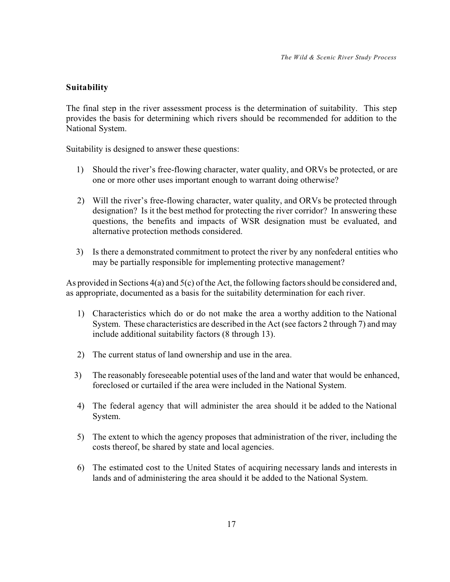# **Suitability**

The final step in the river assessment process is the determination of suitability. This step provides the basis for determining which rivers should be recommended for addition to the National System.

Suitability is designed to answer these questions:

- 1) Should the river's free-flowing character, water quality, and ORVs be protected, or are one or more other uses important enough to warrant doing otherwise?
- 2) Will the river's free-flowing character, water quality, and ORVs be protected through designation? Is it the best method for protecting the river corridor? In answering these questions, the benefits and impacts of WSR designation must be evaluated, and alternative protection methods considered.
- 3) Is there a demonstrated commitment to protect the river by any nonfederal entities who may be partially responsible for implementing protective management?

As provided in Sections 4(a) and 5(c) of the Act, the following factors should be considered and, as appropriate, documented as a basis for the suitability determination for each river.

- 1) Characteristics which do or do not make the area a worthy addition to the National System. These characteristics are described in the Act (see factors 2 through 7) and may include additional suitability factors (8 through 13).
- 2) The current status of land ownership and use in the area.
- 3) The reasonably foreseeable potential uses of the land and water that would be enhanced, foreclosed or curtailed if the area were included in the National System.
- 4) The federal agency that will administer the area should it be added to the National System.
- 5) The extent to which the agency proposes that administration of the river, including the costs thereof, be shared by state and local agencies.
- 6) The estimated cost to the United States of acquiring necessary lands and interests in lands and of administering the area should it be added to the National System.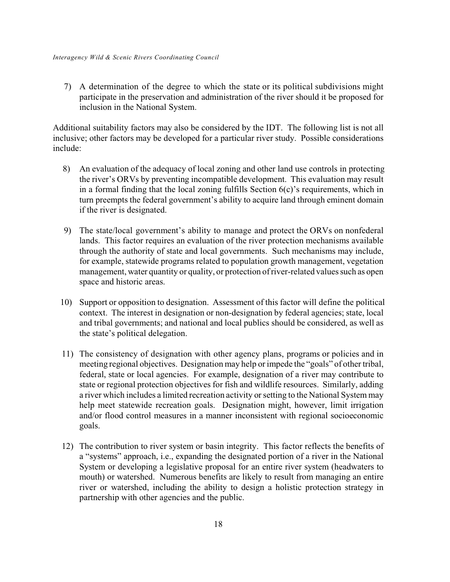7) A determination of the degree to which the state or its political subdivisions might participate in the preservation and administration of the river should it be proposed for inclusion in the National System.

Additional suitability factors may also be considered by the IDT. The following list is not all inclusive; other factors may be developed for a particular river study. Possible considerations include:

- 8) An evaluation of the adequacy of local zoning and other land use controls in protecting the river's ORVs by preventing incompatible development. This evaluation may result in a formal finding that the local zoning fulfills Section 6(c)'s requirements, which in turn preempts the federal government's ability to acquire land through eminent domain if the river is designated.
- 9) The state/local government's ability to manage and protect the ORVs on nonfederal lands. This factor requires an evaluation of the river protection mechanisms available through the authority of state and local governments. Such mechanisms may include, for example, statewide programs related to population growth management, vegetation management, water quantity or quality, or protection of river-related values such as open space and historic areas.
- 10) Support or opposition to designation. Assessment of this factor will define the political context. The interest in designation or non-designation by federal agencies; state, local and tribal governments; and national and local publics should be considered, as well as the state's political delegation.
- 11) The consistency of designation with other agency plans, programs or policies and in meeting regional objectives. Designation may help or impede the "goals" of other tribal, federal, state or local agencies. For example, designation of a river may contribute to state or regional protection objectives for fish and wildlife resources. Similarly, adding a river which includes a limited recreation activity or setting to the National System may help meet statewide recreation goals. Designation might, however, limit irrigation and/or flood control measures in a manner inconsistent with regional socioeconomic goals.
- 12) The contribution to river system or basin integrity. This factor reflects the benefits of a "systems" approach, i.e., expanding the designated portion of a river in the National System or developing a legislative proposal for an entire river system (headwaters to mouth) or watershed. Numerous benefits are likely to result from managing an entire river or watershed, including the ability to design a holistic protection strategy in partnership with other agencies and the public.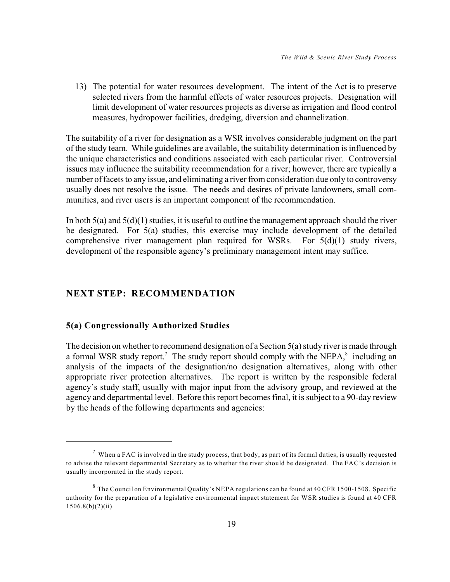13) The potential for water resources development. The intent of the Act is to preserve selected rivers from the harmful effects of water resources projects. Designation will limit development of water resources projects as diverse as irrigation and flood control measures, hydropower facilities, dredging, diversion and channelization.

The suitability of a river for designation as a WSR involves considerable judgment on the part of the study team. While guidelines are available, the suitability determination is influenced by the unique characteristics and conditions associated with each particular river. Controversial issues may influence the suitability recommendation for a river; however, there are typically a number of facets to any issue, and eliminating a river from consideration due only to controversy usually does not resolve the issue. The needs and desires of private landowners, small communities, and river users is an important component of the recommendation.

In both  $5(a)$  and  $5(d)(1)$  studies, it is useful to outline the management approach should the river be designated. For 5(a) studies, this exercise may include development of the detailed comprehensive river management plan required for WSRs. For  $5(d)(1)$  study rivers, development of the responsible agency's preliminary management intent may suffice.

## **NEXT STEP: RECOMMENDATION**

#### **5(a) Congressionally Authorized Studies**

The decision on whether to recommend designation of a Section 5(a) study river is made through a formal WSR study report.<sup>7</sup> The study report should comply with the NEPA, $\delta$  including an analysis of the impacts of the designation/no designation alternatives, along with other appropriate river protection alternatives. The report is written by the responsible federal agency's study staff, usually with major input from the advisory group, and reviewed at the agency and departmental level. Before this report becomes final, it is subject to a 90-day review by the heads of the following departments and agencies:

 $\frac{7}{7}$  When a FAC is involved in the study process, that body, as part of its formal duties, is usually requested to advise the relevant departmental Secretary as to whether the river should be designated. The FAC's decision is usually incorporated in the study report.

 $8$  The Council on Environmental Quality's NEPA regulations can be found at 40 CFR 1500-1508. Specific authority for the preparation of a legislative environmental impact statement for WSR studies is found at 40 CFR  $1506.8(b)(2)(ii)$ .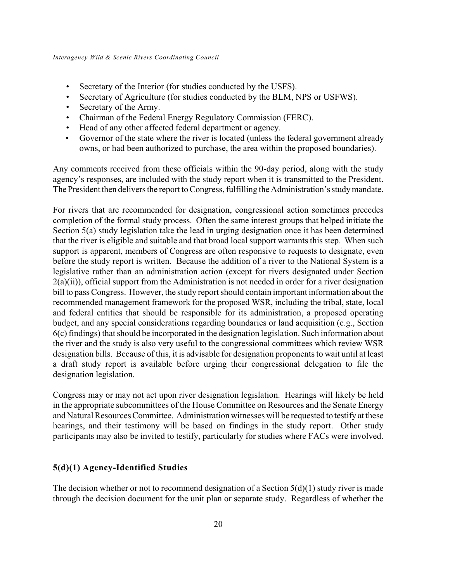- Secretary of the Interior (for studies conducted by the USFS).
- Secretary of Agriculture (for studies conducted by the BLM, NPS or USFWS).
- Secretary of the Army.
- Chairman of the Federal Energy Regulatory Commission (FERC).
- Head of any other affected federal department or agency.
- Governor of the state where the river is located (unless the federal government already owns, or had been authorized to purchase, the area within the proposed boundaries).

Any comments received from these officials within the 90-day period, along with the study agency's responses, are included with the study report when it is transmitted to the President. The President then delivers the report to Congress, fulfilling the Administration's study mandate.

For rivers that are recommended for designation, congressional action sometimes precedes completion of the formal study process. Often the same interest groups that helped initiate the Section 5(a) study legislation take the lead in urging designation once it has been determined that the river is eligible and suitable and that broad local support warrants this step. When such support is apparent, members of Congress are often responsive to requests to designate, even before the study report is written. Because the addition of a river to the National System is a legislative rather than an administration action (except for rivers designated under Section  $2(a)(ii)$ ), official support from the Administration is not needed in order for a river designation bill to pass Congress. However, the study report should contain important information about the recommended management framework for the proposed WSR, including the tribal, state, local and federal entities that should be responsible for its administration, a proposed operating budget, and any special considerations regarding boundaries or land acquisition (e.g., Section 6(c) findings) that should be incorporated in the designation legislation. Such information about the river and the study is also very useful to the congressional committees which review WSR designation bills. Because of this, it is advisable for designation proponents to wait until at least a draft study report is available before urging their congressional delegation to file the designation legislation.

Congress may or may not act upon river designation legislation. Hearings will likely be held in the appropriate subcommittees of the House Committee on Resources and the Senate Energy and Natural Resources Committee. Administration witnesses will be requested to testify at these hearings, and their testimony will be based on findings in the study report. Other study participants may also be invited to testify, particularly for studies where FACs were involved.

#### **5(d)(1) Agency-Identified Studies**

The decision whether or not to recommend designation of a Section  $5(d)(1)$  study river is made through the decision document for the unit plan or separate study. Regardless of whether the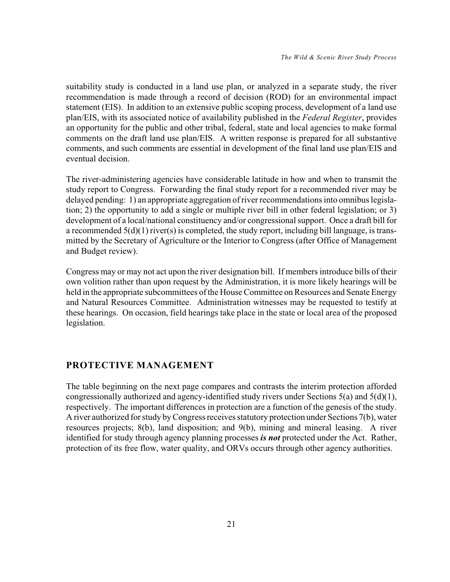suitability study is conducted in a land use plan, or analyzed in a separate study, the river recommendation is made through a record of decision (ROD) for an environmental impact statement (EIS). In addition to an extensive public scoping process, development of a land use plan/EIS, with its associated notice of availability published in the *Federal Register*, provides an opportunity for the public and other tribal, federal, state and local agencies to make formal comments on the draft land use plan/EIS. A written response is prepared for all substantive comments, and such comments are essential in development of the final land use plan/EIS and eventual decision.

The river-administering agencies have considerable latitude in how and when to transmit the study report to Congress. Forwarding the final study report for a recommended river may be delayed pending: 1) an appropriate aggregation of river recommendations into omnibus legislation; 2) the opportunity to add a single or multiple river bill in other federal legislation; or 3) development of a local/national constituency and/or congressional support. Once a draft bill for a recommended  $5(d)(1)$  river(s) is completed, the study report, including bill language, is transmitted by the Secretary of Agriculture or the Interior to Congress (after Office of Management and Budget review).

Congress may or may not act upon the river designation bill. If members introduce bills of their own volition rather than upon request by the Administration, it is more likely hearings will be held in the appropriate subcommittees of the House Committee on Resources and Senate Energy and Natural Resources Committee. Administration witnesses may be requested to testify at these hearings. On occasion, field hearings take place in the state or local area of the proposed legislation.

# **PROTECTIVE MANAGEMENT**

The table beginning on the next page compares and contrasts the interim protection afforded congressionally authorized and agency-identified study rivers under Sections 5(a) and 5(d)(1), respectively. The important differences in protection are a function of the genesis of the study. A river authorized for study by Congress receives statutory protection under Sections 7(b), water resources projects; 8(b), land disposition; and 9(b), mining and mineral leasing. A river identified for study through agency planning processes *is not* protected under the Act. Rather, protection of its free flow, water quality, and ORVs occurs through other agency authorities.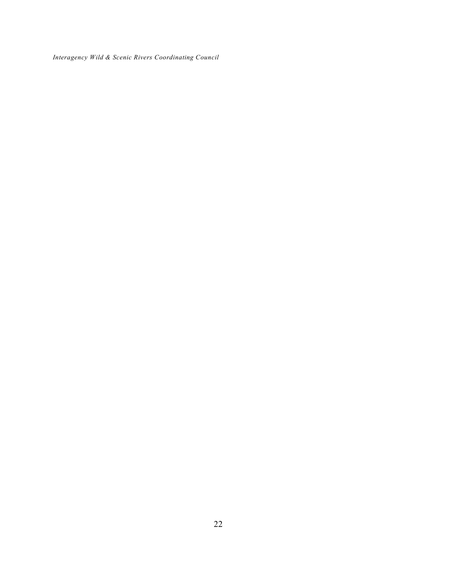*Interagency Wild & Scenic Rivers Coordinating Council*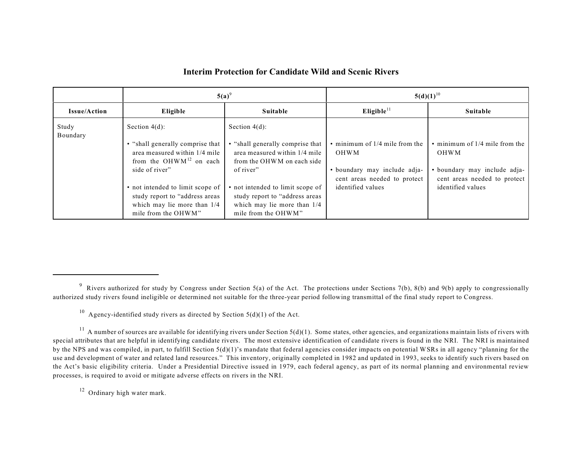|                   | $5(a)^9$                                                                                                   |                                                                                                 | $5(d)(1)^{10}$                                                                    |                                                                                   |
|-------------------|------------------------------------------------------------------------------------------------------------|-------------------------------------------------------------------------------------------------|-----------------------------------------------------------------------------------|-----------------------------------------------------------------------------------|
| Issue/Action      | Eligible                                                                                                   | Suitable                                                                                        | $E$ ligible $11$                                                                  | Suitable                                                                          |
| Study<br>Boundary | Section $4(d)$ :                                                                                           | Section $4(d)$ :                                                                                |                                                                                   |                                                                                   |
|                   | • "shall generally comprise that<br>area measured within 1/4 mile<br>from the $OHWM$ <sup>12</sup> on each | • "shall generally comprise that<br>area measured within 1/4 mile<br>from the OHWM on each side | $\cdot$ minimum of 1/4 mile from the<br><b>OHWM</b>                               | • minimum of 1/4 mile from the<br>OHWM                                            |
|                   | side of river"                                                                                             | of river"<br>• not intended to limit scope of   • not intended to limit scope of                | • boundary may include adja-<br>cent areas needed to protect<br>identified values | · boundary may include adja-<br>cent areas needed to protect<br>identified values |

study report to "address areas which may lie more than 1/4 mile from the OHWM"

# **Interim Protection for Candidate Wild and Scenic Rivers**

study report to "address areas which may lie more than 1/4 mile from the OHWM"

 $12$  Ordinary high water mark.

<sup>&</sup>lt;sup>9</sup> Rivers authorized for study by Congress under Section 5(a) of the Act. The protections under Sections 7(b), 8(b) and 9(b) apply to congressionally authorized study rivers found ineligible or determined not suitable for the three-year period following transmittal of the final study report to Congress.

<sup>&</sup>lt;sup>10</sup> Agency-identified study rivers as directed by Section  $5(d)(1)$  of the Act.

<sup>&</sup>lt;sup>11</sup> A number of sources are available for identifying rivers under Section  $5(d)(1)$ . Some states, other agencies, and organizations maintain lists of rivers with special attributes that are helpful in identifying candidate rivers. The most extensive identification of candidate rivers is found in the NRI. The NRI is maintained by the NPS and was compiled, in part, to fulfill Section 5(d)(1)'s mandate that federal agencies consider impacts on potential WSRs in all agency "planning for the use and development of water and related land resources." This inventory, originally completed in 1982 and updated in 1993, seeks to identify such rivers based on the Act's basic eligibility criteria. Under a Presidential Directive issued in 1979, each federal agency, as part of its normal planning and environmental review processes, is required to avoid or mitigate adverse effects on rivers in the NRI.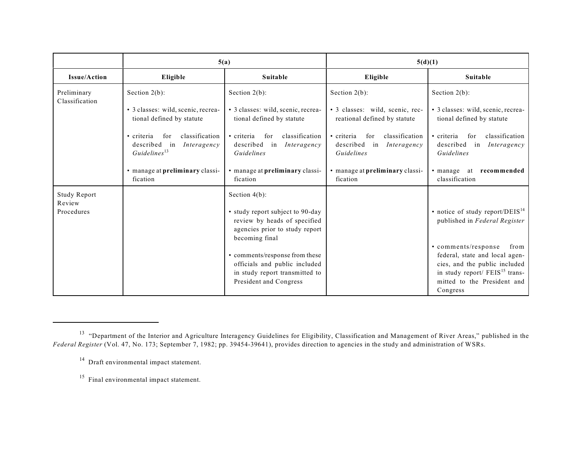|                               | 5(a)                                                                                           |                                                                                                                             | 5(d)(1)                                                                              |                                                                                                                                                                                         |
|-------------------------------|------------------------------------------------------------------------------------------------|-----------------------------------------------------------------------------------------------------------------------------|--------------------------------------------------------------------------------------|-----------------------------------------------------------------------------------------------------------------------------------------------------------------------------------------|
| <b>Issue/Action</b>           | Eligible                                                                                       | Suitable                                                                                                                    | Eligible                                                                             | Suitable                                                                                                                                                                                |
| Preliminary<br>Classification | Section $2(b)$ :                                                                               | Section $2(b)$ :                                                                                                            | Section $2(b)$ :                                                                     | Section $2(b)$ :                                                                                                                                                                        |
|                               | • 3 classes: wild, scenic, recrea-<br>tional defined by statute                                | • 3 classes: wild, scenic, recrea-<br>tional defined by statute                                                             | • 3 classes: wild, scenic, rec-<br>reational defined by statute                      | • 3 classes: wild, scenic, recrea-<br>tional defined by statute                                                                                                                         |
|                               | classification<br>for<br>• criteria<br>described in<br>Interagency<br>Guidelines <sup>13</sup> | classification<br>• criteria<br>for<br>described in<br>Interagency<br>Guidelines                                            | classification<br>• criteria<br>for<br>described in <i>Interagency</i><br>Guidelines | • criteria<br>classification<br>for<br>described in<br>Interagency<br>Guidelines                                                                                                        |
|                               | • manage at <b>preliminary</b> classi-<br>fication                                             | • manage at preliminary classi-<br>fication                                                                                 | • manage at preliminary classi-<br>fication                                          | · manage at recommended<br>classification                                                                                                                                               |
| Study Report                  |                                                                                                | Section $4(b)$ :                                                                                                            |                                                                                      |                                                                                                                                                                                         |
| Review<br>Procedures          |                                                                                                | • study report subject to 90-day<br>review by heads of specified<br>agencies prior to study report<br>becoming final        |                                                                                      | • notice of study report/ $DEIS14$<br>published in Federal Register                                                                                                                     |
|                               |                                                                                                | • comments/response from these<br>officials and public included<br>in study report transmitted to<br>President and Congress |                                                                                      | • comments/response<br>from<br>federal, state and local agen-<br>cies, and the public included<br>in study report/ FEIS <sup>15</sup> trans-<br>mitted to the President and<br>Congress |

<sup>&</sup>lt;sup>13</sup> "Department of the Interior and Agriculture Interagency Guidelines for Eligibility, Classification and Management of River Areas," published in the *Federal Register* (Vol. 47, No. 173; September 7, 1982; pp. 39454-39641), provides direction to agencies in the study and administration of WSRs.

 $14$  Draft environmental impact statement.

 $15$  Final environmental impact statement.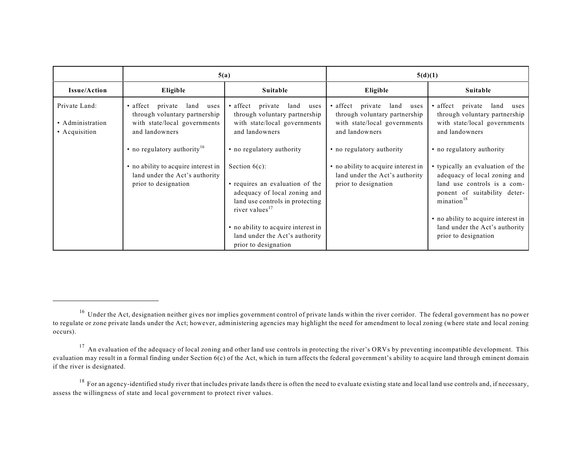|                                                    |                                                                                                                        | 5(a)                                                                                                                                                 |                                                                                                                        | 5(d)(1)                                                                                                                                                   |
|----------------------------------------------------|------------------------------------------------------------------------------------------------------------------------|------------------------------------------------------------------------------------------------------------------------------------------------------|------------------------------------------------------------------------------------------------------------------------|-----------------------------------------------------------------------------------------------------------------------------------------------------------|
| <b>Issue/Action</b>                                | Eligible                                                                                                               | Suitable                                                                                                                                             | Eligible                                                                                                               | Suitable                                                                                                                                                  |
| Private Land:<br>• Administration<br>• Acquisition | private<br>• affect<br>land<br>uses<br>through voluntary partnership<br>with state/local governments<br>and landowners | private<br>• affect<br>land<br>uses<br>through voluntary partnership<br>with state/local governments<br>and landowners                               | private<br>• affect<br>land<br>uses<br>through voluntary partnership<br>with state/local governments<br>and landowners | private<br>• affect<br>land<br>uses<br>through voluntary partnership<br>with state/local governments<br>and landowners                                    |
|                                                    | • no regulatory authority <sup>16</sup>                                                                                | • no regulatory authority                                                                                                                            | • no regulatory authority                                                                                              | • no regulatory authority                                                                                                                                 |
|                                                    | • no ability to acquire interest in<br>land under the Act's authority<br>prior to designation                          | Section $6(c)$ :<br>• requires an evaluation of the<br>adequacy of local zoning and<br>land use controls in protecting<br>river values <sup>17</sup> | • no ability to acquire interest in<br>land under the Act's authority<br>prior to designation                          | • typically an evaluation of the<br>adequacy of local zoning and<br>land use controls is a com-<br>ponent of suitability deter-<br>mination <sup>18</sup> |
|                                                    |                                                                                                                        | • no ability to acquire interest in<br>land under the Act's authority<br>prior to designation                                                        |                                                                                                                        | • no ability to acquire interest in<br>land under the Act's authority<br>prior to designation                                                             |

 $16$  Under the Act, designation neither gives nor implies government control of private lands within the river corridor. The federal government has no power to regulate or zone private lands under the Act; however, administering agencies may highlight the need for amendment to local zoning (where state and local zoning occurs).

 $17$  An evaluation of the adequacy of local zoning and other land use controls in protecting the river's ORVs by preventing incompatible development. This evaluation may result in a formal finding under Section 6(c) of the Act, which in turn affects the federal government's ability to acquire land through eminent domain if the river is designated.

 $^{18}$  For an agency-identified study river that includes private lands there is often the need to evaluate existing state and local land use controls and, if necessary, assess the willingness of state and local government to protect river values.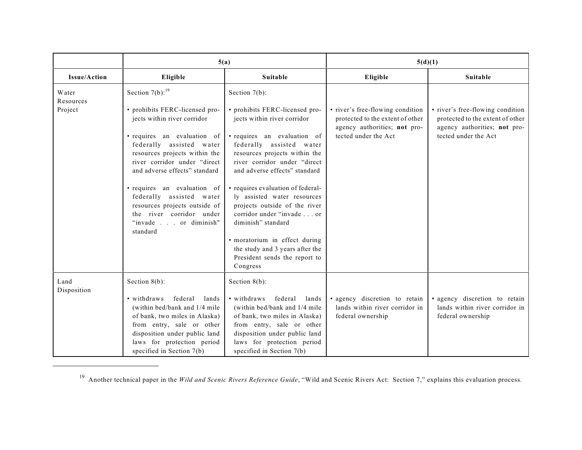|                               | 5(a)                                                                                                                                                                                                                                                                                                                                                                                                                     |                                                                                                                                                                                                                                                                                                                                                                                                                                                                                                                         |                                                                                                                              | 5(d)(1)                                                                                                                      |
|-------------------------------|--------------------------------------------------------------------------------------------------------------------------------------------------------------------------------------------------------------------------------------------------------------------------------------------------------------------------------------------------------------------------------------------------------------------------|-------------------------------------------------------------------------------------------------------------------------------------------------------------------------------------------------------------------------------------------------------------------------------------------------------------------------------------------------------------------------------------------------------------------------------------------------------------------------------------------------------------------------|------------------------------------------------------------------------------------------------------------------------------|------------------------------------------------------------------------------------------------------------------------------|
| <b>Issue/Action</b>           | Eligible                                                                                                                                                                                                                                                                                                                                                                                                                 | Suitable                                                                                                                                                                                                                                                                                                                                                                                                                                                                                                                | Eligible                                                                                                                     | Suitable                                                                                                                     |
| Water<br>Resources<br>Project | Section $7(b)$ : <sup>19</sup><br>• prohibits FERC-licensed pro-<br>jects within river corridor<br>· requires an evaluation of<br>federally assisted water<br>resources projects within the<br>river corridor under "direct<br>and adverse effects" standard<br>· requires an evaluation of<br>federally assisted water<br>resources projects outside of<br>the river corridor under<br>"invade or diminish"<br>standard | Section $7(b)$ :<br>• prohibits FERC-licensed pro-<br>jects within river corridor<br>• requires an evaluation of<br>federally assisted water<br>resources projects within the<br>river corridor under "direct<br>and adverse effects" standard<br>• requires evaluation of federal-<br>ly assisted water resources<br>projects outside of the river<br>corridor under "invade or<br>diminish" standard<br>· moratorium in effect during<br>the study and 3 years after the<br>President sends the report to<br>Congress | • river's free-flowing condition<br>protected to the extent of other<br>agency authorities; not pro-<br>tected under the Act | • river's free-flowing condition<br>protected to the extent of other<br>agency authorities; not pro-<br>tected under the Act |
| Land<br>Disposition           | Section $8(b)$ :<br>• withdraws<br>federal<br>lands<br>(within bed/bank and 1/4 mile<br>of bank, two miles in Alaska)<br>from entry, sale or other<br>disposition under public land<br>laws for protection period<br>specified in Section 7(b)                                                                                                                                                                           | Section $8(b)$ :<br>• withdraws<br>federal<br>lands<br>(within bed/bank and 1/4 mile<br>of bank, two miles in Alaska)<br>from entry, sale or other<br>disposition under public land<br>laws for protection period<br>specified in Section $7(b)$                                                                                                                                                                                                                                                                        | • agency discretion to retain<br>lands within river corridor in<br>federal ownership                                         | • agency discretion to retain<br>lands within river corridor in<br>federal ownership                                         |

<sup>&</sup>lt;sup>19</sup> Another technical paper in the *Wild and Scenic Rivers Reference Guide*, "Wild and Scenic Rivers Act: Section 7," explains this evaluation process.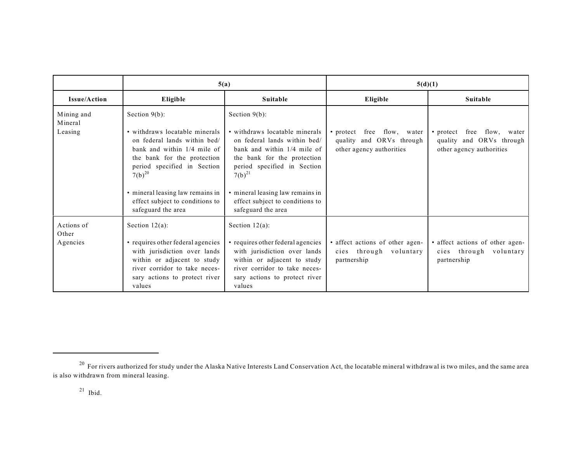|                                  | 5(a)                                                                                                                                                                                                                                                                                        |                                                                                                                                                                                                                                                                                             |                                                                                       | 5(d)(1)                                                                                  |
|----------------------------------|---------------------------------------------------------------------------------------------------------------------------------------------------------------------------------------------------------------------------------------------------------------------------------------------|---------------------------------------------------------------------------------------------------------------------------------------------------------------------------------------------------------------------------------------------------------------------------------------------|---------------------------------------------------------------------------------------|------------------------------------------------------------------------------------------|
| <b>Issue/Action</b>              | Suitable<br>Eligible                                                                                                                                                                                                                                                                        |                                                                                                                                                                                                                                                                                             | Eligible                                                                              | Suitable                                                                                 |
| Mining and<br>Mineral<br>Leasing | Section $9(b)$ :<br>• withdraws locatable minerals<br>on federal lands within bed/<br>bank and within 1/4 mile of<br>the bank for the protection<br>period specified in Section<br>$7(b)^{20}$<br>• mineral leasing law remains in<br>effect subject to conditions to<br>safeguard the area | Section $9(b)$ :<br>• withdraws locatable minerals<br>on federal lands within bed/<br>bank and within 1/4 mile of<br>the bank for the protection<br>period specified in Section<br>$7(b)^{21}$<br>• mineral leasing law remains in<br>effect subject to conditions to<br>safeguard the area | • protect<br>free flow, water<br>quality and ORVs through<br>other agency authorities | free flow,<br>• protect<br>water<br>quality and ORVs through<br>other agency authorities |
| Actions of<br>Other<br>Agencies  | Section $12(a)$ :<br>• requires other federal agencies<br>with jurisdiction over lands<br>within or adjacent to study<br>river corridor to take neces-<br>sary actions to protect river<br>values                                                                                           | Section $12(a)$ :<br>• requires other federal agencies<br>with jurisdiction over lands<br>within or adjacent to study<br>river corridor to take neces-<br>sary actions to protect river<br>values                                                                                           | · affect actions of other agen-<br>cies through voluntary<br>partnership              | • affect actions of other agen-<br>cies through voluntary<br>partnership                 |

 $^{20}$  For rivers authorized for study under the Alaska Native Interests Land Conservation Act, the locatable mineral withdrawal is two miles, and the same area is also withdrawn from mineral leasing.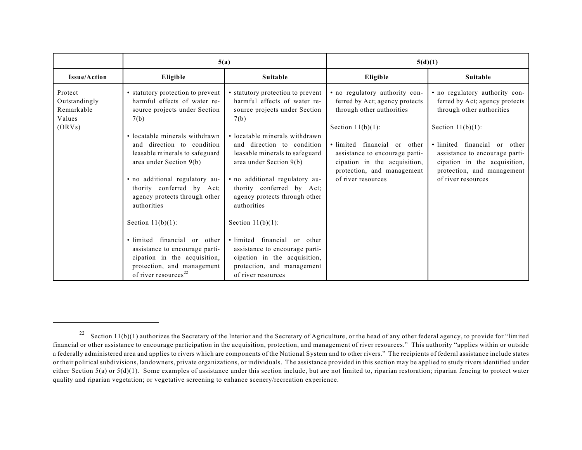|                                                  | 5(a)                                                                                                                                                                                                                                     |                                                                                                                                                                                                                                          |                                                                                                                                                    | 5(d)(1)                                                                                                                                            |
|--------------------------------------------------|------------------------------------------------------------------------------------------------------------------------------------------------------------------------------------------------------------------------------------------|------------------------------------------------------------------------------------------------------------------------------------------------------------------------------------------------------------------------------------------|----------------------------------------------------------------------------------------------------------------------------------------------------|----------------------------------------------------------------------------------------------------------------------------------------------------|
| <b>Issue/Action</b>                              | Eligible                                                                                                                                                                                                                                 | Suitable                                                                                                                                                                                                                                 | Eligible                                                                                                                                           | Suitable                                                                                                                                           |
| Protect<br>Outstandingly<br>Remarkable<br>Values | • statutory protection to prevent<br>harmful effects of water re-<br>source projects under Section<br>7(b)                                                                                                                               | • statutory protection to prevent<br>harmful effects of water re-<br>source projects under Section<br>7(b)                                                                                                                               | • no regulatory authority con-<br>ferred by Act; agency protects<br>through other authorities                                                      | • no regulatory authority con-<br>ferred by Act; agency protects<br>through other authorities                                                      |
| (ORVs)                                           |                                                                                                                                                                                                                                          |                                                                                                                                                                                                                                          | Section $11(b)(1)$ :                                                                                                                               | Section $11(b)(1)$ :                                                                                                                               |
|                                                  | • locatable minerals withdrawn<br>and direction to condition<br>leasable minerals to safeguard<br>area under Section 9(b)<br>· no additional regulatory au-<br>thority conferred by Act;<br>agency protects through other<br>authorities | • locatable minerals withdrawn<br>and direction to condition<br>leasable minerals to safeguard<br>area under Section 9(b)<br>· no additional regulatory au-<br>thority conferred by Act;<br>agency protects through other<br>authorities | · limited financial or other<br>assistance to encourage parti-<br>cipation in the acquisition,<br>protection, and management<br>of river resources | · limited financial or other<br>assistance to encourage parti-<br>cipation in the acquisition,<br>protection, and management<br>of river resources |
|                                                  | Section $11(b)(1)$ :                                                                                                                                                                                                                     | Section $11(b)(1)$ :                                                                                                                                                                                                                     |                                                                                                                                                    |                                                                                                                                                    |
|                                                  | · limited financial or other<br>assistance to encourage parti-<br>cipation in the acquisition,<br>protection, and management<br>of river resources <sup>22</sup>                                                                         | · limited financial or other<br>assistance to encourage parti-<br>cipation in the acquisition,<br>protection, and management<br>of river resources                                                                                       |                                                                                                                                                    |                                                                                                                                                    |

<sup>&</sup>lt;sup>22</sup> Section 11(b)(1) authorizes the Secretary of the Interior and the Secretary of Agriculture, or the head of any other federal agency, to provide for "limited financial or other assistance to encourage participation in the acquisition, protection, and management of river resources." This authority "applies within or outside a federally administered area and applies to rivers which are components of the National System and to other rivers." The recipients of federal assistance include states or their political subdivisions, landowners, private organizations, or individuals. The assistance provided in this section may be applied to study rivers identified under either Section  $5(a)$  or  $5(d)(1)$ . Some examples of assistance under this section include, but are not limited to, riparian restoration; riparian fencing to protect water quality and riparian vegetation; or vegetative screening to enhance scenery/recreation experience.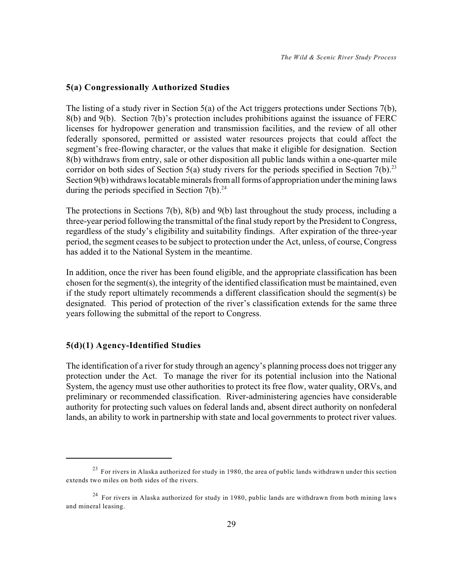#### **5(a) Congressionally Authorized Studies**

The listing of a study river in Section 5(a) of the Act triggers protections under Sections 7(b), 8(b) and 9(b). Section 7(b)'s protection includes prohibitions against the issuance of FERC licenses for hydropower generation and transmission facilities, and the review of all other federally sponsored, permitted or assisted water resources projects that could affect the segment's free-flowing character, or the values that make it eligible for designation. Section 8(b) withdraws from entry, sale or other disposition all public lands within a one-quarter mile corridor on both sides of Section  $5(a)$  study rivers for the periods specified in Section  $7(b)$ .<sup>23</sup> Section 9(b) withdraws locatable minerals from all forms of appropriation under the mining laws during the periods specified in Section  $7(b)^{24}$ .

The protections in Sections 7(b), 8(b) and 9(b) last throughout the study process, including a three-year period following the transmittal of the final study report by the President to Congress, regardless of the study's eligibility and suitability findings. After expiration of the three-year period, the segment ceases to be subject to protection under the Act, unless, of course, Congress has added it to the National System in the meantime.

In addition, once the river has been found eligible, and the appropriate classification has been chosen for the segment(s), the integrity of the identified classification must be maintained, even if the study report ultimately recommends a different classification should the segment(s) be designated. This period of protection of the river's classification extends for the same three years following the submittal of the report to Congress.

# **5(d)(1) Agency-Identified Studies**

The identification of a river for study through an agency's planning process does not trigger any protection under the Act. To manage the river for its potential inclusion into the National System, the agency must use other authorities to protect its free flow, water quality, ORVs, and preliminary or recommended classification. River-administering agencies have considerable authority for protecting such values on federal lands and, absent direct authority on nonfederal lands, an ability to work in partnership with state and local governments to protect river values.

 $^{23}$  For rivers in Alaska authorized for study in 1980, the area of public lands withdrawn under this section extends two miles on both sides of the rivers.

 $24$  For rivers in Alaska authorized for study in 1980, public lands are withdrawn from both mining laws and mineral leasing.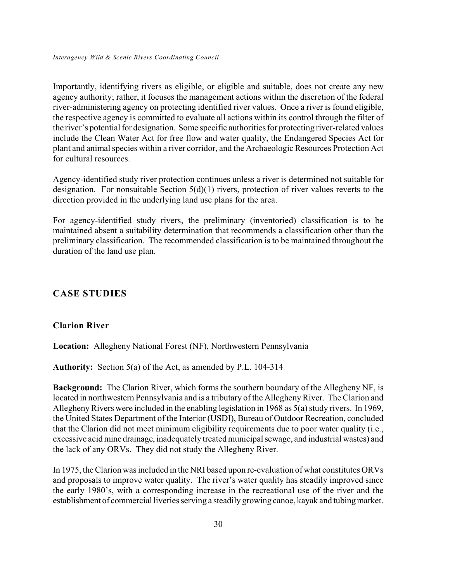Importantly, identifying rivers as eligible, or eligible and suitable, does not create any new agency authority; rather, it focuses the management actions within the discretion of the federal river-administering agency on protecting identified river values. Once a river is found eligible, the respective agency is committed to evaluate all actions within its control through the filter of the river's potential for designation. Some specific authorities for protecting river-related values include the Clean Water Act for free flow and water quality, the Endangered Species Act for plant and animal species within a river corridor, and the Archaeologic Resources Protection Act for cultural resources.

Agency-identified study river protection continues unless a river is determined not suitable for designation. For nonsuitable Section  $5(d)(1)$  rivers, protection of river values reverts to the direction provided in the underlying land use plans for the area.

For agency-identified study rivers, the preliminary (inventoried) classification is to be maintained absent a suitability determination that recommends a classification other than the preliminary classification. The recommended classification is to be maintained throughout the duration of the land use plan.

# **CASE STUDIES**

#### **Clarion River**

**Location:** Allegheny National Forest (NF), Northwestern Pennsylvania

**Authority:** Section 5(a) of the Act, as amended by P.L. 104-314

**Background:** The Clarion River, which forms the southern boundary of the Allegheny NF, is located in northwestern Pennsylvania and is a tributary of the Allegheny River. The Clarion and Allegheny Rivers were included in the enabling legislation in 1968 as 5(a) study rivers. In 1969, the United States Department of the Interior (USDI), Bureau of Outdoor Recreation, concluded that the Clarion did not meet minimum eligibility requirements due to poor water quality (i.e., excessive acid mine drainage, inadequately treated municipal sewage, and industrial wastes) and the lack of any ORVs. They did not study the Allegheny River.

In 1975, the Clarion was included in the NRI based upon re-evaluation of what constitutes ORVs and proposals to improve water quality. The river's water quality has steadily improved since the early 1980's, with a corresponding increase in the recreational use of the river and the establishment of commercial liveries serving a steadily growing canoe, kayak and tubing market.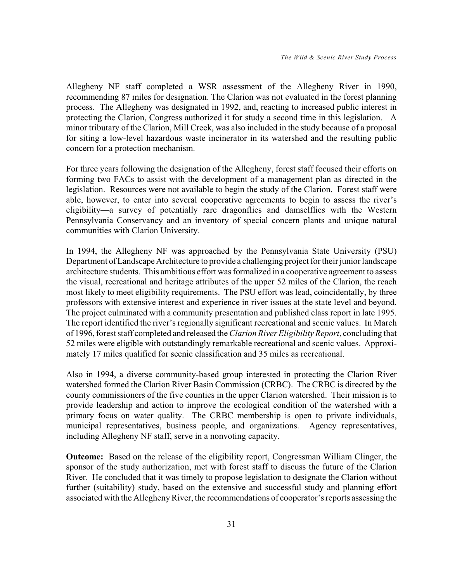Allegheny NF staff completed a WSR assessment of the Allegheny River in 1990, recommending 87 miles for designation. The Clarion was not evaluated in the forest planning process. The Allegheny was designated in 1992, and, reacting to increased public interest in protecting the Clarion, Congress authorized it for study a second time in this legislation. A minor tributary of the Clarion, Mill Creek, was also included in the study because of a proposal for siting a low-level hazardous waste incinerator in its watershed and the resulting public concern for a protection mechanism.

For three years following the designation of the Allegheny, forest staff focused their efforts on forming two FACs to assist with the development of a management plan as directed in the legislation. Resources were not available to begin the study of the Clarion. Forest staff were able, however, to enter into several cooperative agreements to begin to assess the river's eligibility—a survey of potentially rare dragonflies and damselflies with the Western Pennsylvania Conservancy and an inventory of special concern plants and unique natural communities with Clarion University.

In 1994, the Allegheny NF was approached by the Pennsylvania State University (PSU) Department of Landscape Architecture to provide a challenging project for their junior landscape architecture students. This ambitious effort was formalized in a cooperative agreement to assess the visual, recreational and heritage attributes of the upper 52 miles of the Clarion, the reach most likely to meet eligibility requirements. The PSU effort was lead, coincidentally, by three professors with extensive interest and experience in river issues at the state level and beyond. The project culminated with a community presentation and published class report in late 1995. The report identified the river's regionally significant recreational and scenic values. In March of 1996, forest staff completed and released the*Clarion River Eligibility Report*, concluding that 52 miles were eligible with outstandingly remarkable recreational and scenic values. Approximately 17 miles qualified for scenic classification and 35 miles as recreational.

Also in 1994, a diverse community-based group interested in protecting the Clarion River watershed formed the Clarion River Basin Commission (CRBC). The CRBC is directed by the county commissioners of the five counties in the upper Clarion watershed. Their mission is to provide leadership and action to improve the ecological condition of the watershed with a primary focus on water quality. The CRBC membership is open to private individuals, municipal representatives, business people, and organizations. Agency representatives, including Allegheny NF staff, serve in a nonvoting capacity.

**Outcome:** Based on the release of the eligibility report, Congressman William Clinger, the sponsor of the study authorization, met with forest staff to discuss the future of the Clarion River. He concluded that it was timely to propose legislation to designate the Clarion without further (suitability) study, based on the extensive and successful study and planning effort associated with the Allegheny River, the recommendations of cooperator's reports assessing the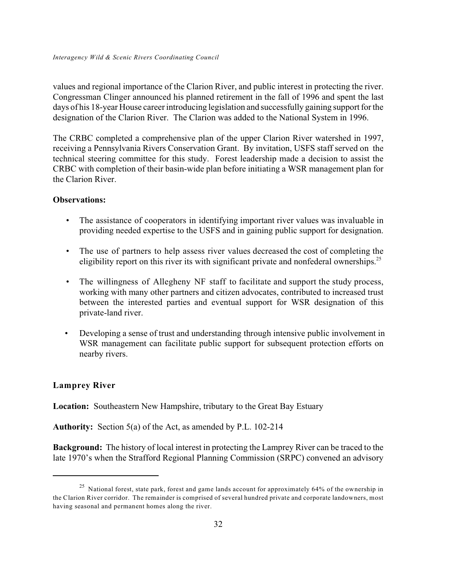values and regional importance of the Clarion River, and public interest in protecting the river. Congressman Clinger announced his planned retirement in the fall of 1996 and spent the last days of his 18-year House career introducing legislation and successfully gaining support for the designation of the Clarion River. The Clarion was added to the National System in 1996.

The CRBC completed a comprehensive plan of the upper Clarion River watershed in 1997, receiving a Pennsylvania Rivers Conservation Grant. By invitation, USFS staff served on the technical steering committee for this study. Forest leadership made a decision to assist the CRBC with completion of their basin-wide plan before initiating a WSR management plan for the Clarion River.

# **Observations:**

- The assistance of cooperators in identifying important river values was invaluable in providing needed expertise to the USFS and in gaining public support for designation.
- The use of partners to help assess river values decreased the cost of completing the eligibility report on this river its with significant private and nonfederal ownerships.<sup>25</sup>
- The willingness of Allegheny NF staff to facilitate and support the study process, working with many other partners and citizen advocates, contributed to increased trust between the interested parties and eventual support for WSR designation of this private-land river.
- Developing a sense of trust and understanding through intensive public involvement in WSR management can facilitate public support for subsequent protection efforts on nearby rivers.

# **Lamprey River**

**Location:** Southeastern New Hampshire, tributary to the Great Bay Estuary

**Authority:** Section 5(a) of the Act, as amended by P.L. 102-214

**Background:** The history of local interest in protecting the Lamprey River can be traced to the late 1970's when the Strafford Regional Planning Commission (SRPC) convened an advisory

<sup>&</sup>lt;sup>25</sup> National forest, state park, forest and game lands account for approximately 64% of the ownership in the Clarion River corridor. The remainder is comprised of several hundred private and corporate landowners, most having seasonal and permanent homes along the river.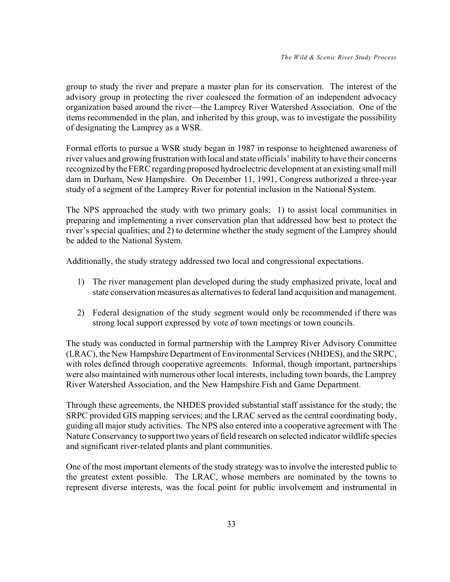group to study the river and prepare a master plan for its conservation. The interest of the advisory group in protecting the river coalesced the formation of an independent advocacy organization based around the river—the Lamprey River Watershed Association. One of the items recommended in the plan, and inherited by this group, was to investigate the possibility of designating the Lamprey as a WSR.

Formal efforts to pursue a WSR study began in 1987 in response to heightened awareness of river values and growing frustration with local and state officials' inability to have their concerns recognized by the FERC regarding proposed hydroelectric development at an existing small mill dam in Durham, New Hampshire. On December 11, 1991, Congress authorized a three-year study of a segment of the Lamprey River for potential inclusion in the National System.

The NPS approached the study with two primary goals: 1) to assist local communities in preparing and implementing a river conservation plan that addressed how best to protect the river's special qualities; and 2) to determine whether the study segment of the Lamprey should be added to the National System.

Additionally, the study strategy addressed two local and congressional expectations.

- 1) The river management plan developed during the study emphasized private, local and state conservation measures as alternatives to federal land acquisition and management.
- 2) Federal designation of the study segment would only be recommended if there was strong local support expressed by vote of town meetings or town councils.

The study was conducted in formal partnership with the Lamprey River Advisory Committee (LRAC), the New Hampshire Department of Environmental Services (NHDES), and the SRPC, with roles defined through cooperative agreements. Informal, though important, partnerships were also maintained with numerous other local interests, including town boards, the Lamprey River Watershed Association, and the New Hampshire Fish and Game Department.

Through these agreements, the NHDES provided substantial staff assistance for the study; the SRPC provided GIS mapping services; and the LRAC served as the central coordinating body, guiding all major study activities. The NPS also entered into a cooperative agreement with The Nature Conservancy to support two years of field research on selected indicator wildlife species and significant river-related plants and plant communities.

One of the most important elements of the study strategy was to involve the interested public to the greatest extent possible. The LRAC, whose members are nominated by the towns to represent diverse interests, was the focal point for public involvement and instrumental in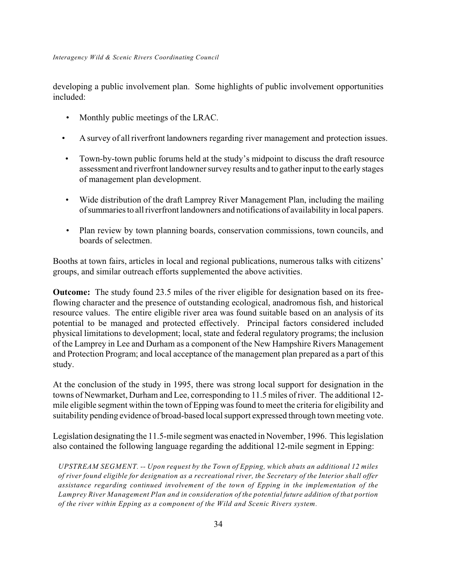developing a public involvement plan. Some highlights of public involvement opportunities included:

- Monthly public meetings of the LRAC.
- A survey of all riverfront landowners regarding river management and protection issues.
- Town-by-town public forums held at the study's midpoint to discuss the draft resource assessment and riverfront landowner survey results and to gather input to the early stages of management plan development.
- Wide distribution of the draft Lamprey River Management Plan, including the mailing of summaries to all riverfront landowners and notifications of availability in local papers.
- Plan review by town planning boards, conservation commissions, town councils, and boards of selectmen.

Booths at town fairs, articles in local and regional publications, numerous talks with citizens' groups, and similar outreach efforts supplemented the above activities.

**Outcome:** The study found 23.5 miles of the river eligible for designation based on its freeflowing character and the presence of outstanding ecological, anadromous fish, and historical resource values. The entire eligible river area was found suitable based on an analysis of its potential to be managed and protected effectively. Principal factors considered included physical limitations to development; local, state and federal regulatory programs; the inclusion of the Lamprey in Lee and Durham as a component of the New Hampshire Rivers Management and Protection Program; and local acceptance of the management plan prepared as a part of this study.

At the conclusion of the study in 1995, there was strong local support for designation in the towns of Newmarket, Durham and Lee, corresponding to 11.5 miles of river. The additional 12 mile eligible segment within the town of Epping was found to meet the criteria for eligibility and suitability pending evidence of broad-based local support expressed through town meeting vote.

Legislation designating the 11.5-mile segment was enacted in November, 1996. This legislation also contained the following language regarding the additional 12-mile segment in Epping:

*UPSTREAM SEGMENT. -- Upon request by the Town of Epping, which abuts an additional 12 miles of river found eligible for designation as a recreational river, the Secretary of the Interior shall offer assistance regarding continued involvement of the town of Epping in the implementation of the Lamprey River Management Plan and in consideration of the potential future addition of that portion of the river within Epping as a component of the Wild and Scenic Rivers system.*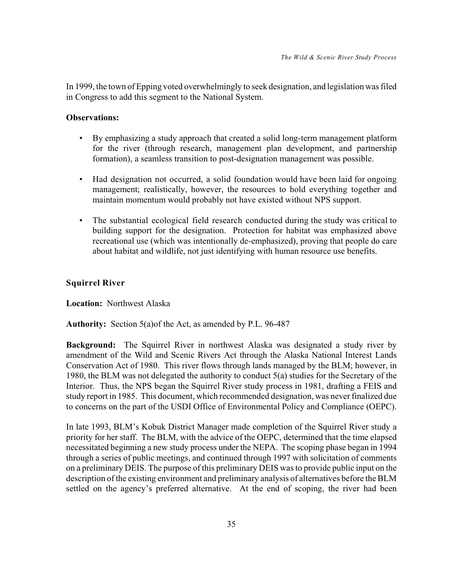In 1999, the town of Epping voted overwhelmingly to seek designation, and legislation was filed in Congress to add this segment to the National System.

# **Observations:**

- By emphasizing a study approach that created a solid long-term management platform for the river (through research, management plan development, and partnership formation), a seamless transition to post-designation management was possible.
- Had designation not occurred, a solid foundation would have been laid for ongoing management; realistically, however, the resources to hold everything together and maintain momentum would probably not have existed without NPS support.
- The substantial ecological field research conducted during the study was critical to building support for the designation. Protection for habitat was emphasized above recreational use (which was intentionally de-emphasized), proving that people do care about habitat and wildlife, not just identifying with human resource use benefits.

# **Squirrel River**

**Location:** Northwest Alaska

**Authority:** Section 5(a)of the Act, as amended by P.L. 96-487

**Background:** The Squirrel River in northwest Alaska was designated a study river by amendment of the Wild and Scenic Rivers Act through the Alaska National Interest Lands Conservation Act of 1980. This river flows through lands managed by the BLM; however, in 1980, the BLM was not delegated the authority to conduct 5(a) studies for the Secretary of the Interior. Thus, the NPS began the Squirrel River study process in 1981, drafting a FEIS and study report in 1985. This document, which recommended designation, was never finalized due to concerns on the part of the USDI Office of Environmental Policy and Compliance (OEPC).

In late 1993, BLM's Kobuk District Manager made completion of the Squirrel River study a priority for her staff. The BLM, with the advice of the OEPC, determined that the time elapsed necessitated beginning a new study process under the NEPA. The scoping phase began in 1994 through a series of public meetings, and continued through 1997 with solicitation of comments on a preliminary DEIS. The purpose of this preliminary DEIS was to provide public input on the description of the existing environment and preliminary analysis of alternatives before the BLM settled on the agency's preferred alternative. At the end of scoping, the river had been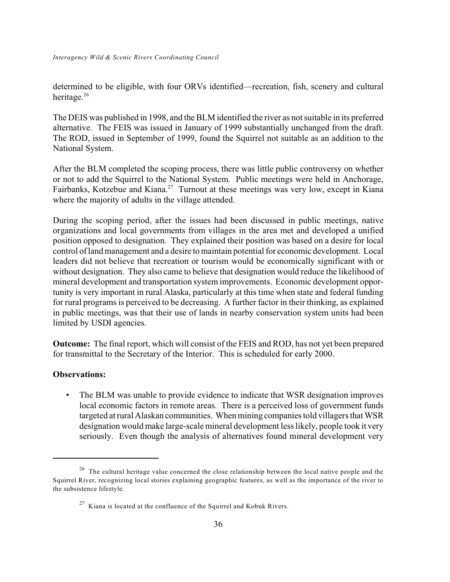determined to be eligible, with four ORVs identified—recreation, fish, scenery and cultural heritage.<sup>26</sup>

The DEIS was published in 1998, and the BLM identified the river as not suitable in its preferred alternative. The FEIS was issued in January of 1999 substantially unchanged from the draft. The ROD, issued in September of 1999, found the Squirrel not suitable as an addition to the National System.

After the BLM completed the scoping process, there was little public controversy on whether or not to add the Squirrel to the National System. Public meetings were held in Anchorage, Fairbanks, Kotzebue and Kiana.<sup>27</sup> Turnout at these meetings was very low, except in Kiana where the majority of adults in the village attended.

During the scoping period, after the issues had been discussed in public meetings, native organizations and local governments from villages in the area met and developed a unified position opposed to designation. They explained their position was based on a desire for local control of land management and a desire to maintain potential for economic development. Local leaders did not believe that recreation or tourism would be economically significant with or without designation. They also came to believe that designation would reduce the likelihood of mineral development and transportation system improvements. Economic development opportunity is very important in rural Alaska, particularly at this time when state and federal funding for rural programs is perceived to be decreasing. A further factor in their thinking, as explained in public meetings, was that their use of lands in nearby conservation system units had been limited by USDI agencies.

**Outcome:** The final report, which will consist of the FEIS and ROD, has not yet been prepared for transmittal to the Secretary of the Interior. This is scheduled for early 2000.

### **Observations:**

 • The BLM was unable to provide evidence to indicate that WSR designation improves local economic factors in remote areas. There is a perceived loss of government funds targeted at rural Alaskan communities. When mining companies told villagers that WSR designation would make large-scale mineral development less likely, people took it very seriously. Even though the analysis of alternatives found mineral development very

 $26$  The cultural heritage value concerned the close relationship between the local native people and the Squirrel River, recognizing local stories explaining geographic features, as well as the importance of the river to the subsistence lifestyle.

 $27$  Kiana is located at the confluence of the Squirrel and Kobuk Rivers.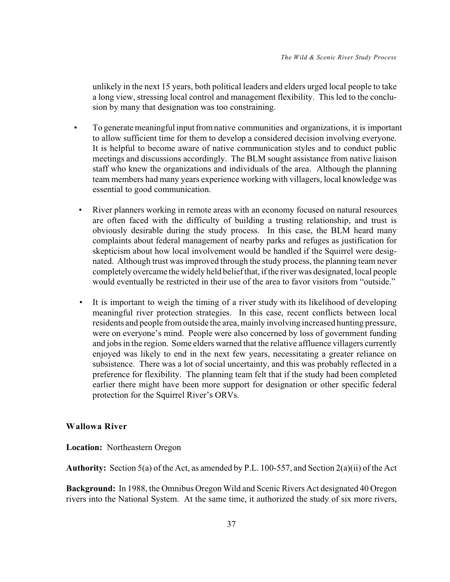unlikely in the next 15 years, both political leaders and elders urged local people to take a long view, stressing local control and management flexibility. This led to the conclusion by many that designation was too constraining.

- To generate meaningful input from native communities and organizations, it is important to allow sufficient time for them to develop a considered decision involving everyone. It is helpful to become aware of native communication styles and to conduct public meetings and discussions accordingly. The BLM sought assistance from native liaison staff who knew the organizations and individuals of the area. Although the planning team members had many years experience working with villagers, local knowledge was essential to good communication.
- River planners working in remote areas with an economy focused on natural resources are often faced with the difficulty of building a trusting relationship, and trust is obviously desirable during the study process. In this case, the BLM heard many complaints about federal management of nearby parks and refuges as justification for skepticism about how local involvement would be handled if the Squirrel were designated. Although trust was improved through the study process, the planning team never completely overcame the widely held belief that, if the river was designated, local people would eventually be restricted in their use of the area to favor visitors from "outside."
- It is important to weigh the timing of a river study with its likelihood of developing meaningful river protection strategies. In this case, recent conflicts between local residents and people from outside the area, mainly involving increased hunting pressure, were on everyone's mind. People were also concerned by loss of government funding and jobs in the region. Some elders warned that the relative affluence villagers currently enjoyed was likely to end in the next few years, necessitating a greater reliance on subsistence. There was a lot of social uncertainty, and this was probably reflected in a preference for flexibility. The planning team felt that if the study had been completed earlier there might have been more support for designation or other specific federal protection for the Squirrel River's ORVs.

### **Wallowa River**

**Location:** Northeastern Oregon

**Authority:** Section 5(a) of the Act, as amended by P.L. 100-557, and Section 2(a)(ii) of the Act

**Background:** In 1988, the Omnibus Oregon Wild and Scenic Rivers Act designated 40 Oregon rivers into the National System. At the same time, it authorized the study of six more rivers,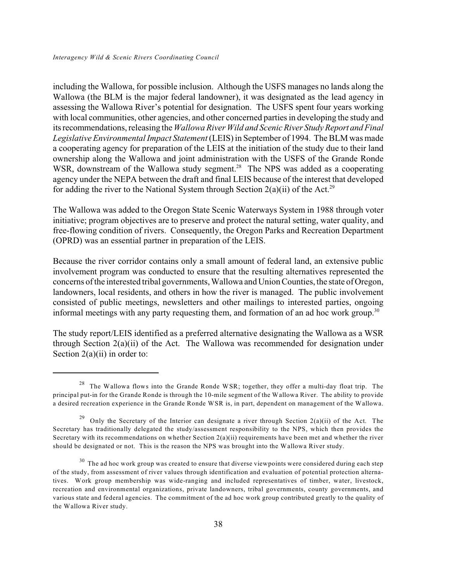including the Wallowa, for possible inclusion. Although the USFS manages no lands along the Wallowa (the BLM is the major federal landowner), it was designated as the lead agency in assessing the Wallowa River's potential for designation. The USFS spent four years working with local communities, other agencies, and other concerned parties in developing the study and its recommendations, releasing the *Wallowa River Wild and Scenic River Study Report and Final Legislative Environmental Impact Statement* (LEIS) in September of 1994. The BLM was made a cooperating agency for preparation of the LEIS at the initiation of the study due to their land ownership along the Wallowa and joint administration with the USFS of the Grande Ronde WSR, downstream of the Wallowa study segment.<sup>28</sup> The NPS was added as a cooperating agency under the NEPA between the draft and final LEIS because of the interest that developed for adding the river to the National System through Section  $2(a)(ii)$  of the Act.<sup>29</sup>

The Wallowa was added to the Oregon State Scenic Waterways System in 1988 through voter initiative; program objectives are to preserve and protect the natural setting, water quality, and free-flowing condition of rivers. Consequently, the Oregon Parks and Recreation Department (OPRD) was an essential partner in preparation of the LEIS.

Because the river corridor contains only a small amount of federal land, an extensive public involvement program was conducted to ensure that the resulting alternatives represented the concerns of the interested tribal governments, Wallowa and Union Counties, the state of Oregon, landowners, local residents, and others in how the river is managed. The public involvement consisted of public meetings, newsletters and other mailings to interested parties, ongoing informal meetings with any party requesting them, and formation of an ad hoc work group.<sup>30</sup>

The study report/LEIS identified as a preferred alternative designating the Wallowa as a WSR through Section 2(a)(ii) of the Act. The Wallowa was recommended for designation under Section  $2(a)(ii)$  in order to:

 $28$  The Wallowa flows into the Grande Ronde WSR; together, they offer a multi-day float trip. The principal put-in for the Grande Ronde is through the 10-mile segment of the Wallowa River. The ability to provide a desired recreation experience in the Grande Ronde WSR is, in part, dependent on management of the Wallowa.

<sup>&</sup>lt;sup>29</sup> Only the Secretary of the Interior can designate a river through Section 2(a)(ii) of the Act. The Secretary has traditionally delegated the study/assessment responsibility to the NPS, which then provides the Secretary with its recommendations on whether Section 2(a)(ii) requirements have been met and whether the river should be designated or not. This is the reason the NPS was brought into the Wallowa River study.

 $30$  The ad hoc work group was created to ensure that diverse viewpoints were considered during each step of the study, from assessment of river values through identification and evaluation of potential protection alternatives. Work group membership was wide-ranging and included representatives of timber, water, livestock, recreation and environmental organizations, private landowners, tribal governments, county governments, and various state and federal agencies. The commitment of the ad hoc work group contributed greatly to the quality of the Wallowa River study.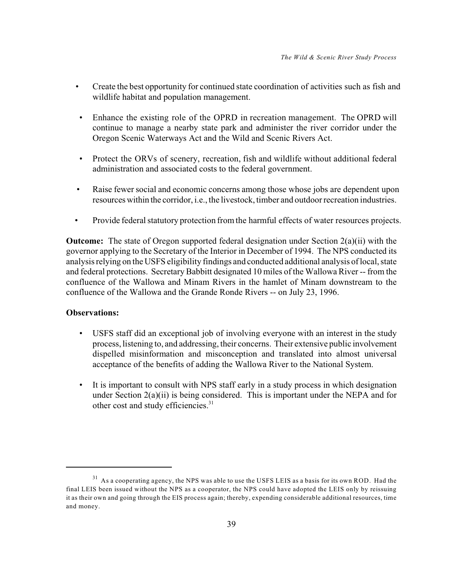- Create the best opportunity for continued state coordination of activities such as fish and wildlife habitat and population management.
- Enhance the existing role of the OPRD in recreation management. The OPRD will continue to manage a nearby state park and administer the river corridor under the Oregon Scenic Waterways Act and the Wild and Scenic Rivers Act.
- Protect the ORVs of scenery, recreation, fish and wildlife without additional federal administration and associated costs to the federal government.
- Raise fewer social and economic concerns among those whose jobs are dependent upon resources within the corridor, i.e., the livestock, timber and outdoor recreation industries.
- Provide federal statutory protection from the harmful effects of water resources projects.

**Outcome:** The state of Oregon supported federal designation under Section 2(a)(ii) with the governor applying to the Secretary of the Interior in December of 1994. The NPS conducted its analysis relying on the USFS eligibility findings and conducted additional analysis of local, state and federal protections. Secretary Babbitt designated 10 miles of the Wallowa River -- from the confluence of the Wallowa and Minam Rivers in the hamlet of Minam downstream to the confluence of the Wallowa and the Grande Ronde Rivers -- on July 23, 1996.

# **Observations:**

- USFS staff did an exceptional job of involving everyone with an interest in the study process, listening to, and addressing, their concerns. Their extensive public involvement dispelled misinformation and misconception and translated into almost universal acceptance of the benefits of adding the Wallowa River to the National System.
- It is important to consult with NPS staff early in a study process in which designation under Section  $2(a)(ii)$  is being considered. This is important under the NEPA and for other cost and study efficiencies.<sup>31</sup>

 $31$  As a cooperating agency, the NPS was able to use the USFS LEIS as a basis for its own ROD. Had the final LEIS been issued without the NPS as a cooperator, the NPS could have adopted the LEIS only by reissuing it as their own and going through the EIS process again; thereby, expending considerable additional resources, time and money.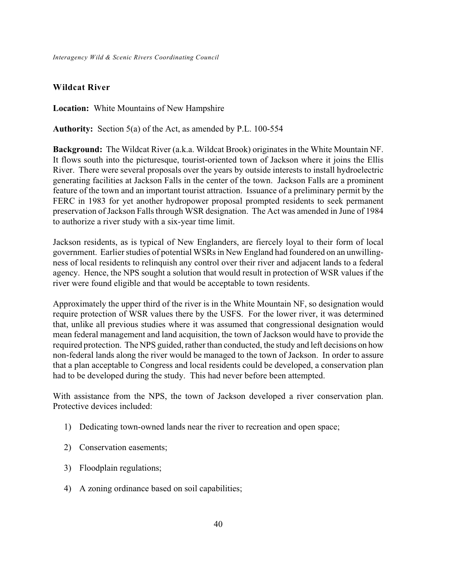*Interagency Wild & Scenic Rivers Coordinating Council*

# **Wildcat River**

**Location:** White Mountains of New Hampshire

**Authority:** Section 5(a) of the Act, as amended by P.L. 100-554

**Background:** The Wildcat River (a.k.a. Wildcat Brook) originates in the White Mountain NF. It flows south into the picturesque, tourist-oriented town of Jackson where it joins the Ellis River. There were several proposals over the years by outside interests to install hydroelectric generating facilities at Jackson Falls in the center of the town. Jackson Falls are a prominent feature of the town and an important tourist attraction. Issuance of a preliminary permit by the FERC in 1983 for yet another hydropower proposal prompted residents to seek permanent preservation of Jackson Falls through WSR designation. The Act was amended in June of 1984 to authorize a river study with a six-year time limit.

Jackson residents, as is typical of New Englanders, are fiercely loyal to their form of local government. Earlier studies of potential WSRs in New England had foundered on an unwillingness of local residents to relinquish any control over their river and adjacent lands to a federal agency. Hence, the NPS sought a solution that would result in protection of WSR values if the river were found eligible and that would be acceptable to town residents.

Approximately the upper third of the river is in the White Mountain NF, so designation would require protection of WSR values there by the USFS. For the lower river, it was determined that, unlike all previous studies where it was assumed that congressional designation would mean federal management and land acquisition, the town of Jackson would have to provide the required protection. The NPS guided, rather than conducted, the study and left decisions on how non-federal lands along the river would be managed to the town of Jackson. In order to assure that a plan acceptable to Congress and local residents could be developed, a conservation plan had to be developed during the study. This had never before been attempted.

With assistance from the NPS, the town of Jackson developed a river conservation plan. Protective devices included:

- 1) Dedicating town-owned lands near the river to recreation and open space;
- 2) Conservation easements;
- 3) Floodplain regulations;
- 4) A zoning ordinance based on soil capabilities;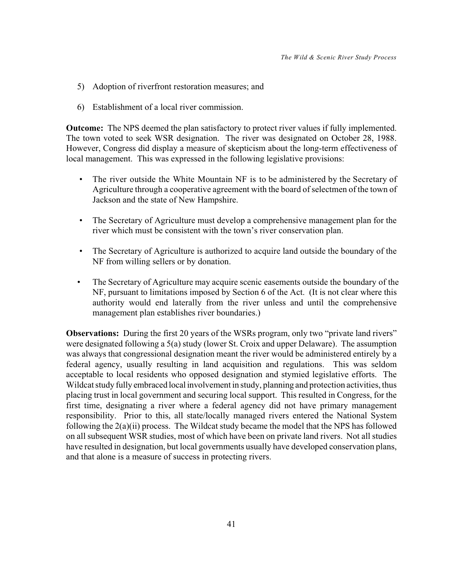- 5) Adoption of riverfront restoration measures; and
- 6) Establishment of a local river commission.

**Outcome:** The NPS deemed the plan satisfactory to protect river values if fully implemented. The town voted to seek WSR designation. The river was designated on October 28, 1988. However, Congress did display a measure of skepticism about the long-term effectiveness of local management. This was expressed in the following legislative provisions:

- The river outside the White Mountain NF is to be administered by the Secretary of Agriculture through a cooperative agreement with the board of selectmen of the town of Jackson and the state of New Hampshire.
- The Secretary of Agriculture must develop a comprehensive management plan for the river which must be consistent with the town's river conservation plan.
- The Secretary of Agriculture is authorized to acquire land outside the boundary of the NF from willing sellers or by donation.
- The Secretary of Agriculture may acquire scenic easements outside the boundary of the NF, pursuant to limitations imposed by Section 6 of the Act. (It is not clear where this authority would end laterally from the river unless and until the comprehensive management plan establishes river boundaries.)

**Observations:** During the first 20 years of the WSRs program, only two "private land rivers" were designated following a 5(a) study (lower St. Croix and upper Delaware). The assumption was always that congressional designation meant the river would be administered entirely by a federal agency, usually resulting in land acquisition and regulations. This was seldom acceptable to local residents who opposed designation and stymied legislative efforts. The Wildcat study fully embraced local involvement in study, planning and protection activities, thus placing trust in local government and securing local support. This resulted in Congress, for the first time, designating a river where a federal agency did not have primary management responsibility. Prior to this, all state/locally managed rivers entered the National System following the 2(a)(ii) process. The Wildcat study became the model that the NPS has followed on all subsequent WSR studies, most of which have been on private land rivers. Not all studies have resulted in designation, but local governments usually have developed conservation plans, and that alone is a measure of success in protecting rivers.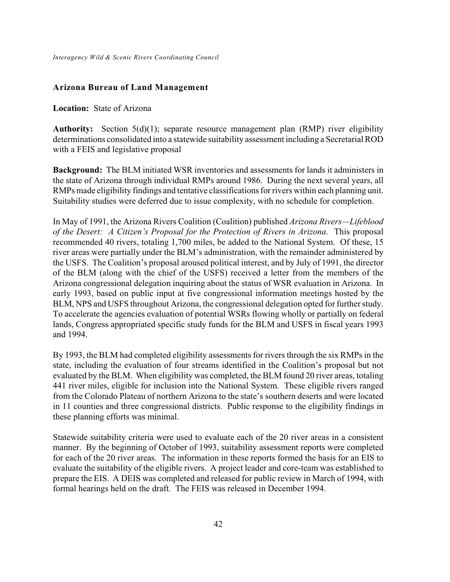## **Arizona Bureau of Land Management**

#### **Location:** State of Arizona

**Authority:** Section 5(d)(1); separate resource management plan (RMP) river eligibility determinations consolidated into a statewide suitability assessment including a Secretarial ROD with a FEIS and legislative proposal

**Background:** The BLM initiated WSR inventories and assessments for lands it administers in the state of Arizona through individual RMPs around 1986. During the next several years, all RMPs made eligibility findings and tentative classifications for rivers within each planning unit. Suitability studies were deferred due to issue complexity, with no schedule for completion.

In May of 1991, the Arizona Rivers Coalition (Coalition) published *Arizona Rivers—Lifeblood of the Desert: A Citizen's Proposal for the Protection of Rivers in Arizona*. This proposal recommended 40 rivers, totaling 1,700 miles, be added to the National System. Of these, 15 river areas were partially under the BLM's administration, with the remainder administered by the USFS. The Coalition's proposal aroused political interest, and by July of 1991, the director of the BLM (along with the chief of the USFS) received a letter from the members of the Arizona congressional delegation inquiring about the status of WSR evaluation in Arizona. In early 1993, based on public input at five congressional information meetings hosted by the BLM, NPS and USFS throughout Arizona, the congressional delegation opted for further study. To accelerate the agencies evaluation of potential WSRs flowing wholly or partially on federal lands, Congress appropriated specific study funds for the BLM and USFS in fiscal years 1993 and 1994.

By 1993, the BLM had completed eligibility assessments for rivers through the six RMPs in the state, including the evaluation of four streams identified in the Coalition's proposal but not evaluated by the BLM. When eligibility was completed, the BLM found 20 river areas, totaling 441 river miles, eligible for inclusion into the National System. These eligible rivers ranged from the Colorado Plateau of northern Arizona to the state's southern deserts and were located in 11 counties and three congressional districts. Public response to the eligibility findings in these planning efforts was minimal.

Statewide suitability criteria were used to evaluate each of the 20 river areas in a consistent manner. By the beginning of October of 1993, suitability assessment reports were completed for each of the 20 river areas. The information in these reports formed the basis for an EIS to evaluate the suitability of the eligible rivers. A project leader and core-team was established to prepare the EIS. A DEIS was completed and released for public review in March of 1994, with formal hearings held on the draft. The FEIS was released in December 1994.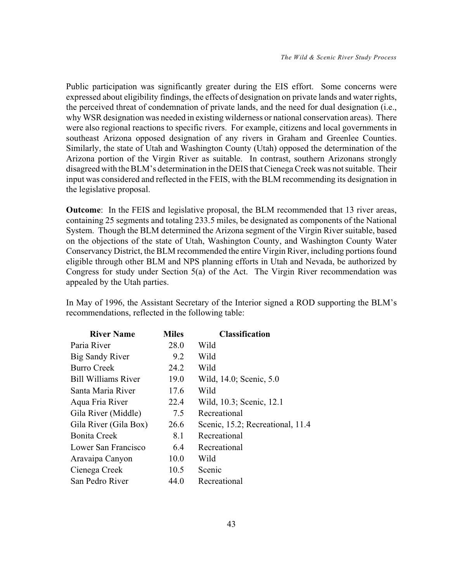Public participation was significantly greater during the EIS effort. Some concerns were expressed about eligibility findings, the effects of designation on private lands and water rights, the perceived threat of condemnation of private lands, and the need for dual designation (i.e., why WSR designation was needed in existing wilderness or national conservation areas). There were also regional reactions to specific rivers. For example, citizens and local governments in southeast Arizona opposed designation of any rivers in Graham and Greenlee Counties. Similarly, the state of Utah and Washington County (Utah) opposed the determination of the Arizona portion of the Virgin River as suitable. In contrast, southern Arizonans strongly disagreed with the BLM's determination in the DEIS that Cienega Creek was not suitable. Their input was considered and reflected in the FEIS, with the BLM recommending its designation in the legislative proposal.

**Outcome**: In the FEIS and legislative proposal, the BLM recommended that 13 river areas, containing 25 segments and totaling 233.5 miles, be designated as components of the National System. Though the BLM determined the Arizona segment of the Virgin River suitable, based on the objections of the state of Utah, Washington County, and Washington County Water Conservancy District, the BLM recommended the entire Virgin River, including portions found eligible through other BLM and NPS planning efforts in Utah and Nevada, be authorized by Congress for study under Section 5(a) of the Act. The Virgin River recommendation was appealed by the Utah parties.

In May of 1996, the Assistant Secretary of the Interior signed a ROD supporting the BLM's recommendations, reflected in the following table:

| <b>Miles</b> | <b>Classification</b>            |
|--------------|----------------------------------|
| 28.0         | Wild                             |
| 9.2          | Wild                             |
| 24.2         | Wild                             |
| 19.0         | Wild, 14.0; Scenic, 5.0          |
| 17.6         | Wild                             |
| 22.4         | Wild, 10.3; Scenic, 12.1         |
| 7.5          | Recreational                     |
| 26.6         | Scenic, 15.2; Recreational, 11.4 |
| 8.1          | Recreational                     |
| 6.4          | Recreational                     |
| 10.0         | Wild                             |
| 10.5         | Scenic                           |
| 44.0         | Recreational                     |
|              |                                  |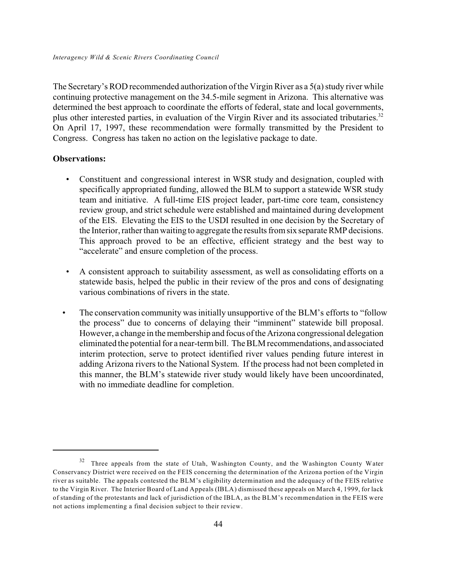The Secretary's ROD recommended authorization of the Virgin River as a 5(a) study river while continuing protective management on the 34.5-mile segment in Arizona. This alternative was determined the best approach to coordinate the efforts of federal, state and local governments, plus other interested parties, in evaluation of the Virgin River and its associated tributaries.<sup>32</sup> On April 17, 1997, these recommendation were formally transmitted by the President to Congress. Congress has taken no action on the legislative package to date.

#### **Observations:**

- Constituent and congressional interest in WSR study and designation, coupled with specifically appropriated funding, allowed the BLM to support a statewide WSR study team and initiative. A full-time EIS project leader, part-time core team, consistency review group, and strict schedule were established and maintained during development of the EIS. Elevating the EIS to the USDI resulted in one decision by the Secretary of the Interior, rather than waiting to aggregate the results from six separate RMP decisions. This approach proved to be an effective, efficient strategy and the best way to "accelerate" and ensure completion of the process.
- A consistent approach to suitability assessment, as well as consolidating efforts on a statewide basis, helped the public in their review of the pros and cons of designating various combinations of rivers in the state.
- The conservation community was initially unsupportive of the BLM's efforts to "follow" the process" due to concerns of delaying their "imminent" statewide bill proposal. However, a change in the membership and focus of the Arizona congressional delegation eliminated the potential for a near-term bill. The BLM recommendations, and associated interim protection, serve to protect identified river values pending future interest in adding Arizona rivers to the National System. If the process had not been completed in this manner, the BLM's statewide river study would likely have been uncoordinated, with no immediate deadline for completion.

 $32$  Three appeals from the state of Utah, Washington County, and the Washington County Water Conservancy District were received on the FEIS concerning the determination of the Arizona portion of the Virgin river as suitable. The appeals contested the BLM's eligibility determination and the adequacy of the FEIS relative to the Virgin River. The Interior Board of Land Appeals (IBLA) dismissed these appeals on March 4, 1999, for lack of standing of the protestants and lack of jurisdiction of the IBLA, as the BLM's recommendation in the FEIS were not actions implementing a final decision subject to their review.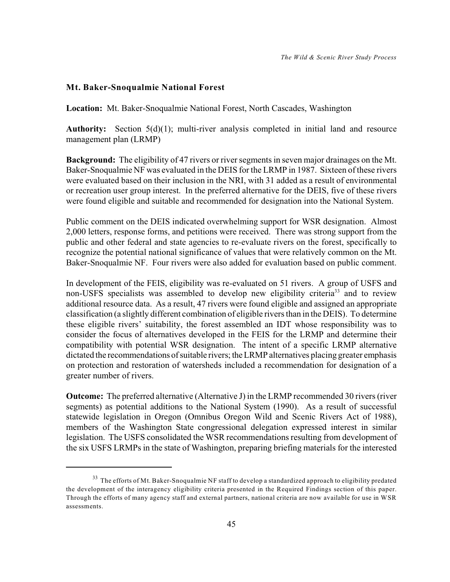#### **Mt. Baker-Snoqualmie National Forest**

**Location:** Mt. Baker-Snoqualmie National Forest, North Cascades, Washington

**Authority:** Section 5(d)(1); multi-river analysis completed in initial land and resource management plan (LRMP)

**Background:** The eligibility of 47 rivers or river segments in seven major drainages on the Mt. Baker-Snoqualmie NF was evaluated in the DEIS for the LRMP in 1987. Sixteen of these rivers were evaluated based on their inclusion in the NRI, with 31 added as a result of environmental or recreation user group interest. In the preferred alternative for the DEIS, five of these rivers were found eligible and suitable and recommended for designation into the National System.

Public comment on the DEIS indicated overwhelming support for WSR designation. Almost 2,000 letters, response forms, and petitions were received. There was strong support from the public and other federal and state agencies to re-evaluate rivers on the forest, specifically to recognize the potential national significance of values that were relatively common on the Mt. Baker-Snoqualmie NF. Four rivers were also added for evaluation based on public comment.

In development of the FEIS, eligibility was re-evaluated on 51 rivers. A group of USFS and non-USFS specialists was assembled to develop new eligibility criteria<sup>33</sup> and to review additional resource data. As a result, 47 rivers were found eligible and assigned an appropriate classification (a slightly different combination of eligible rivers than in the DEIS). To determine these eligible rivers' suitability, the forest assembled an IDT whose responsibility was to consider the focus of alternatives developed in the FEIS for the LRMP and determine their compatibility with potential WSR designation. The intent of a specific LRMP alternative dictated the recommendations of suitable rivers; the LRMP alternatives placing greater emphasis on protection and restoration of watersheds included a recommendation for designation of a greater number of rivers.

**Outcome:** The preferred alternative (Alternative J) in the LRMP recommended 30 rivers (river segments) as potential additions to the National System (1990). As a result of successful statewide legislation in Oregon (Omnibus Oregon Wild and Scenic Rivers Act of 1988), members of the Washington State congressional delegation expressed interest in similar legislation. The USFS consolidated the WSR recommendations resulting from development of the six USFS LRMPs in the state of Washington, preparing briefing materials for the interested

<sup>&</sup>lt;sup>33</sup> The efforts of Mt. Baker-Snoqualmie NF staff to develop a standardized approach to eligibility predated the development of the interagency eligibility criteria presented in the Required Findings section of this paper. Through the efforts of many agency staff and external partners, national criteria are now available for use in WSR assessments.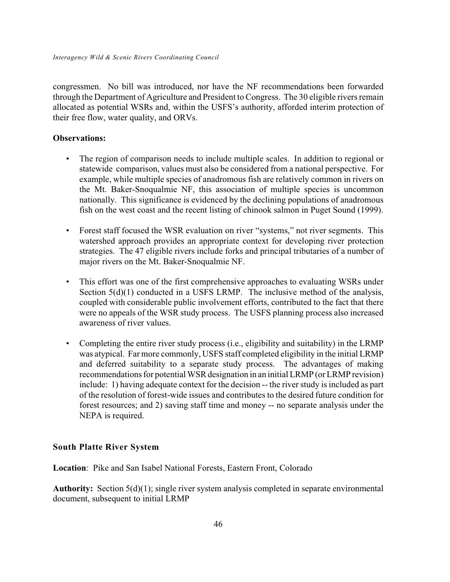congressmen. No bill was introduced, nor have the NF recommendations been forwarded through the Department of Agriculture and President to Congress. The 30 eligible rivers remain allocated as potential WSRs and, within the USFS's authority, afforded interim protection of their free flow, water quality, and ORVs.

### **Observations:**

- The region of comparison needs to include multiple scales. In addition to regional or statewide comparison, values must also be considered from a national perspective. For example, while multiple species of anadromous fish are relatively common in rivers on the Mt. Baker-Snoqualmie NF, this association of multiple species is uncommon nationally. This significance is evidenced by the declining populations of anadromous fish on the west coast and the recent listing of chinook salmon in Puget Sound (1999).
- Forest staff focused the WSR evaluation on river "systems," not river segments. This watershed approach provides an appropriate context for developing river protection strategies. The 47 eligible rivers include forks and principal tributaries of a number of major rivers on the Mt. Baker-Snoqualmie NF.
- This effort was one of the first comprehensive approaches to evaluating WSRs under Section  $5(d)(1)$  conducted in a USFS LRMP. The inclusive method of the analysis, coupled with considerable public involvement efforts, contributed to the fact that there were no appeals of the WSR study process. The USFS planning process also increased awareness of river values.
- Completing the entire river study process (i.e., eligibility and suitability) in the LRMP was atypical. Far more commonly, USFS staff completed eligibility in the initial LRMP and deferred suitability to a separate study process. The advantages of making recommendations for potential WSR designation in an initial LRMP (or LRMP revision) include: 1) having adequate context for the decision -- the river study is included as part of the resolution of forest-wide issues and contributes to the desired future condition for forest resources; and 2) saving staff time and money -- no separate analysis under the NEPA is required.

# **South Platte River System**

**Location**: Pike and San Isabel National Forests, Eastern Front, Colorado

**Authority:** Section 5(d)(1); single river system analysis completed in separate environmental document, subsequent to initial LRMP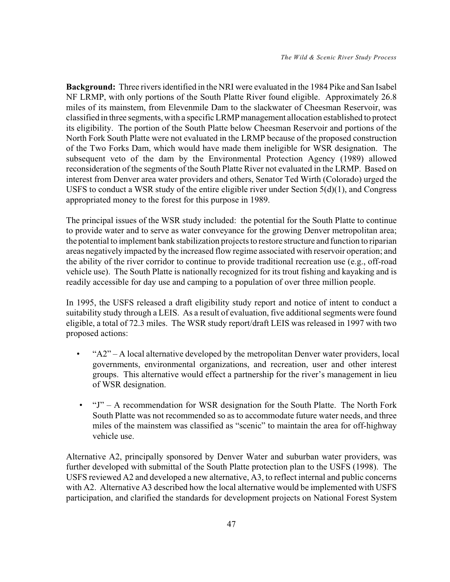**Background:** Three rivers identified in the NRI were evaluated in the 1984 Pike and San Isabel NF LRMP, with only portions of the South Platte River found eligible. Approximately 26.8 miles of its mainstem, from Elevenmile Dam to the slackwater of Cheesman Reservoir, was classified in three segments, with a specific LRMP management allocation established to protect its eligibility. The portion of the South Platte below Cheesman Reservoir and portions of the North Fork South Platte were not evaluated in the LRMP because of the proposed construction of the Two Forks Dam, which would have made them ineligible for WSR designation. The subsequent veto of the dam by the Environmental Protection Agency (1989) allowed reconsideration of the segments of the South Platte River not evaluated in the LRMP. Based on interest from Denver area water providers and others, Senator Ted Wirth (Colorado) urged the USFS to conduct a WSR study of the entire eligible river under Section 5(d)(1), and Congress appropriated money to the forest for this purpose in 1989.

The principal issues of the WSR study included: the potential for the South Platte to continue to provide water and to serve as water conveyance for the growing Denver metropolitan area; the potential to implement bank stabilization projects to restore structure and function to riparian areas negatively impacted by the increased flow regime associated with reservoir operation; and the ability of the river corridor to continue to provide traditional recreation use (e.g., off-road vehicle use). The South Platte is nationally recognized for its trout fishing and kayaking and is readily accessible for day use and camping to a population of over three million people.

In 1995, the USFS released a draft eligibility study report and notice of intent to conduct a suitability study through a LEIS. As a result of evaluation, five additional segments were found eligible, a total of 72.3 miles. The WSR study report/draft LEIS was released in 1997 with two proposed actions:

- "A2" A local alternative developed by the metropolitan Denver water providers, local governments, environmental organizations, and recreation, user and other interest groups. This alternative would effect a partnership for the river's management in lieu of WSR designation.
- "J" A recommendation for WSR designation for the South Platte. The North Fork South Platte was not recommended so as to accommodate future water needs, and three miles of the mainstem was classified as "scenic" to maintain the area for off-highway vehicle use.

Alternative A2, principally sponsored by Denver Water and suburban water providers, was further developed with submittal of the South Platte protection plan to the USFS (1998). The USFS reviewed A2 and developed a new alternative, A3, to reflect internal and public concerns with A2. Alternative A3 described how the local alternative would be implemented with USFS participation, and clarified the standards for development projects on National Forest System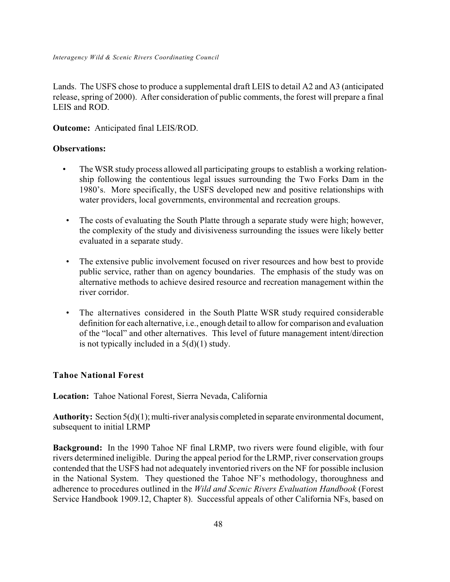Lands. The USFS chose to produce a supplemental draft LEIS to detail A2 and A3 (anticipated release, spring of 2000). After consideration of public comments, the forest will prepare a final LEIS and ROD.

**Outcome:** Anticipated final LEIS/ROD.

#### **Observations:**

- The WSR study process allowed all participating groups to establish a working relationship following the contentious legal issues surrounding the Two Forks Dam in the 1980's. More specifically, the USFS developed new and positive relationships with water providers, local governments, environmental and recreation groups.
- The costs of evaluating the South Platte through a separate study were high; however, the complexity of the study and divisiveness surrounding the issues were likely better evaluated in a separate study.
- The extensive public involvement focused on river resources and how best to provide public service, rather than on agency boundaries. The emphasis of the study was on alternative methods to achieve desired resource and recreation management within the river corridor.
- The alternatives considered in the South Platte WSR study required considerable definition for each alternative, i.e., enough detail to allow for comparison and evaluation of the "local" and other alternatives. This level of future management intent/direction is not typically included in a  $5(d)(1)$  study.

### **Tahoe National Forest**

**Location:** Tahoe National Forest, Sierra Nevada, California

**Authority:** Section 5(d)(1); multi-river analysis completed in separate environmental document, subsequent to initial LRMP

**Background:** In the 1990 Tahoe NF final LRMP, two rivers were found eligible, with four rivers determined ineligible. During the appeal period for the LRMP, river conservation groups contended that the USFS had not adequately inventoried rivers on the NF for possible inclusion in the National System. They questioned the Tahoe NF's methodology, thoroughness and adherence to procedures outlined in the *Wild and Scenic Rivers Evaluation Handbook* (Forest Service Handbook 1909.12, Chapter 8). Successful appeals of other California NFs, based on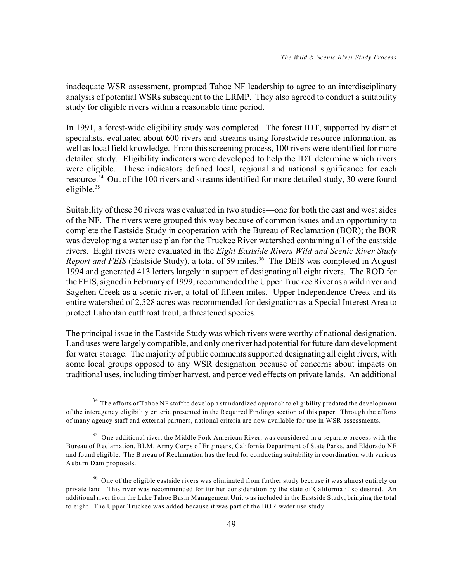inadequate WSR assessment, prompted Tahoe NF leadership to agree to an interdisciplinary analysis of potential WSRs subsequent to the LRMP. They also agreed to conduct a suitability study for eligible rivers within a reasonable time period.

In 1991, a forest-wide eligibility study was completed. The forest IDT, supported by district specialists, evaluated about 600 rivers and streams using forestwide resource information, as well as local field knowledge. From this screening process, 100 rivers were identified for more detailed study. Eligibility indicators were developed to help the IDT determine which rivers were eligible. These indicators defined local, regional and national significance for each resource.<sup>34</sup> Out of the 100 rivers and streams identified for more detailed study, 30 were found eligible. $35$ 

Suitability of these 30 rivers was evaluated in two studies—one for both the east and west sides of the NF. The rivers were grouped this way because of common issues and an opportunity to complete the Eastside Study in cooperation with the Bureau of Reclamation (BOR); the BOR was developing a water use plan for the Truckee River watershed containing all of the eastside rivers. Eight rivers were evaluated in the *Eight Eastside Rivers Wild and Scenic River Study* Report and FEIS (Eastside Study), a total of 59 miles.<sup>36</sup> The DEIS was completed in August 1994 and generated 413 letters largely in support of designating all eight rivers. The ROD for the FEIS, signed in February of 1999, recommended the Upper Truckee River as a wild river and Sagehen Creek as a scenic river, a total of fifteen miles. Upper Independence Creek and its entire watershed of 2,528 acres was recommended for designation as a Special Interest Area to protect Lahontan cutthroat trout, a threatened species.

The principal issue in the Eastside Study was which rivers were worthy of national designation. Land uses were largely compatible, and only one river had potential for future dam development for water storage. The majority of public comments supported designating all eight rivers, with some local groups opposed to any WSR designation because of concerns about impacts on traditional uses, including timber harvest, and perceived effects on private lands. An additional

<sup>&</sup>lt;sup>34</sup> The efforts of Tahoe NF staff to develop a standardized approach to eligibility predated the development of the interagency eligibility criteria presented in the Required Findings section of this paper. Through the efforts of many agency staff and external partners, national criteria are now available for use in WSR assessments.

 $35$  One additional river, the Middle Fork American River, was considered in a separate process with the Bureau of Reclamation, BLM, Army Corps of Engineers, California Department of State Parks, and Eldorado NF and found eligible. The Bureau of Reclamation has the lead for conducting suitability in coordination with various Auburn Dam proposals.

 $36$  One of the eligible eastside rivers was eliminated from further study because it was almost entirely on private land. This river was recommended for further consideration by the state of California if so desired. An additional river from the Lake Tahoe Basin Management Unit was included in the Eastside Study, bringing the total to eight. The Upper Truckee was added because it was part of the BOR water use study.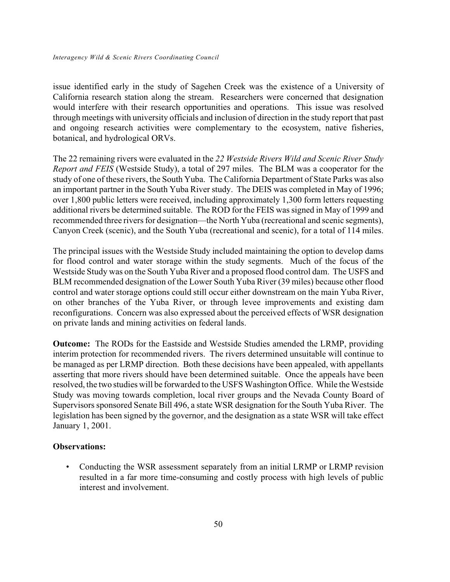issue identified early in the study of Sagehen Creek was the existence of a University of California research station along the stream. Researchers were concerned that designation would interfere with their research opportunities and operations. This issue was resolved through meetings with university officials and inclusion of direction in the study report that past and ongoing research activities were complementary to the ecosystem, native fisheries, botanical, and hydrological ORVs.

The 22 remaining rivers were evaluated in the *22 Westside Rivers Wild and Scenic River Study Report and FEIS* (Westside Study), a total of 297 miles. The BLM was a cooperator for the study of one of these rivers, the South Yuba. The California Department of State Parks was also an important partner in the South Yuba River study. The DEIS was completed in May of 1996; over 1,800 public letters were received, including approximately 1,300 form letters requesting additional rivers be determined suitable. The ROD for the FEIS was signed in May of 1999 and recommended three rivers for designation—the North Yuba (recreational and scenic segments), Canyon Creek (scenic), and the South Yuba (recreational and scenic), for a total of 114 miles.

The principal issues with the Westside Study included maintaining the option to develop dams for flood control and water storage within the study segments. Much of the focus of the Westside Study was on the South Yuba River and a proposed flood control dam. The USFS and BLM recommended designation of the Lower South Yuba River (39 miles) because other flood control and water storage options could still occur either downstream on the main Yuba River, on other branches of the Yuba River, or through levee improvements and existing dam reconfigurations. Concern was also expressed about the perceived effects of WSR designation on private lands and mining activities on federal lands.

**Outcome:** The RODs for the Eastside and Westside Studies amended the LRMP, providing interim protection for recommended rivers. The rivers determined unsuitable will continue to be managed as per LRMP direction. Both these decisions have been appealed, with appellants asserting that more rivers should have been determined suitable. Once the appeals have been resolved, the two studies will be forwarded to the USFS Washington Office. While the Westside Study was moving towards completion, local river groups and the Nevada County Board of Supervisors sponsored Senate Bill 496, a state WSR designation for the South Yuba River. The legislation has been signed by the governor, and the designation as a state WSR will take effect January 1, 2001.

#### **Observations:**

 • Conducting the WSR assessment separately from an initial LRMP or LRMP revision resulted in a far more time-consuming and costly process with high levels of public interest and involvement.